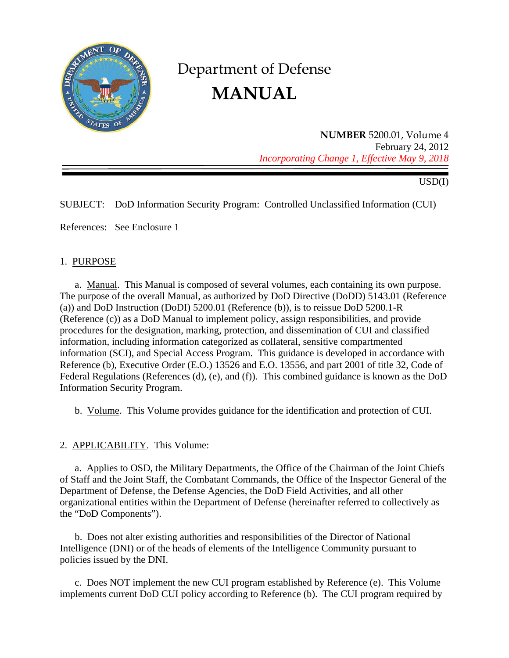

# Department of Defense **MANUAL**

**NUMBER** 5200.01, Volume 4 February 24, 2012 *Incorporating Change 1, Effective May 9, 2018* 

USD(I)

SUBJECT: DoD Information Security Program: Controlled Unclassified Information (CUI)

References: See Enclosure 1

#### 1. PURPOSE

a. Manual. This Manual is composed of several volumes, each containing its own purpose. The purpose of the overall Manual, as authorized by DoD Directive (DoDD) 5143.01 (Reference (a)) and DoD Instruction (DoDI) 5200.01 (Reference (b)), is to reissue DoD 5200.1-R (Reference (c)) as a DoD Manual to implement policy, assign responsibilities, and provide procedures for the designation, marking, protection, and dissemination of CUI and classified information, including information categorized as collateral, sensitive compartmented information (SCI), and Special Access Program. This guidance is developed in accordance with Reference (b), Executive Order (E.O.) 13526 and E.O. 13556, and part 2001 of title 32, Code of Federal Regulations (References (d), (e), and (f)). This combined guidance is known as the DoD Information Security Program.

b. Volume. This Volume provides guidance for the identification and protection of CUI.

## 2. APPLICABILITY. This Volume:

a. Applies to OSD, the Military Departments, the Office of the Chairman of the Joint Chiefs of Staff and the Joint Staff, the Combatant Commands, the Office of the Inspector General of the Department of Defense, the Defense Agencies, the DoD Field Activities, and all other organizational entities within the Department of Defense (hereinafter referred to collectively as the "DoD Components").

b. Does not alter existing authorities and responsibilities of the Director of National Intelligence (DNI) or of the heads of elements of the Intelligence Community pursuant to policies issued by the DNI.

c. Does NOT implement the new CUI program established by Reference (e). This Volume implements current DoD CUI policy according to Reference (b). The CUI program required by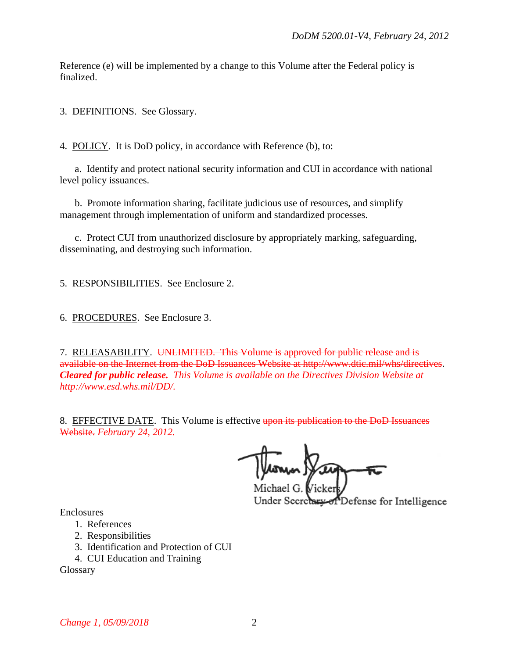Reference (e) will be implemented by a change to this Volume after the Federal policy is finalized.

3. DEFINITIONS. See Glossary.

4. POLICY. It is DoD policy, in accordance with Reference (b), to:

a. Identify and protect national security information and CUI in accordance with national level policy issuances.

b. Promote information sharing, facilitate judicious use of resources, and simplify management through implementation of uniform and standardized processes.

c. Protect CUI from unauthorized disclosure by appropriately marking, safeguarding, disseminating, and destroying such information.

5. RESPONSIBILITIES. See Enclosure 2.

6. PROCEDURES. See Enclosure 3.

7. RELEASABILITY. UNLIMITED. This Volume is approved for public release and is available on the Internet from the DoD Issuances Website at http://www.dtic.mil/whs/directives. *Cleared for public release. This Volume is available on the Directives Division Website at http://www.esd.whs.mil/DD/.*

8. EFFECTIVE DATE. This Volume is effective upon its publication to the DoD Issuances Website. *February 24, 2012.*

Michael G. *V*icker Under Secretary of Defense for Intelligence

Enclosures

- 1. References
- 2. Responsibilities
- 3. Identification and Protection of CUI
- 4. CUI Education and Training

Glossary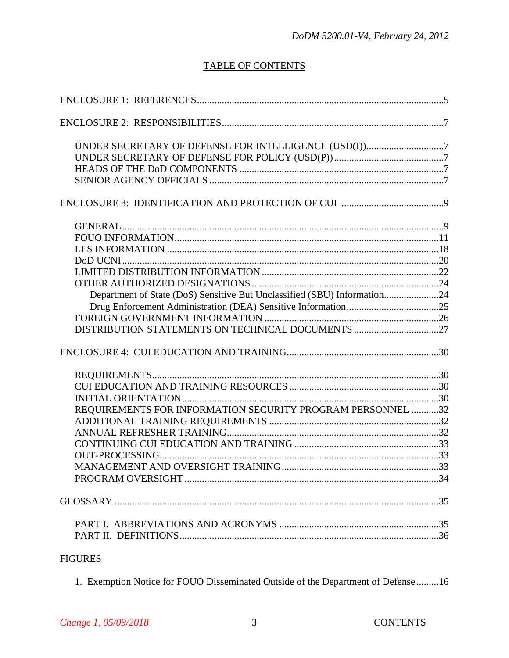# **TABLE OF CONTENTS**

| UNDER SECRETARY OF DEFENSE FOR INTELLIGENCE (USD(I))7                    |  |
|--------------------------------------------------------------------------|--|
|                                                                          |  |
|                                                                          |  |
|                                                                          |  |
|                                                                          |  |
|                                                                          |  |
|                                                                          |  |
|                                                                          |  |
|                                                                          |  |
|                                                                          |  |
|                                                                          |  |
| Department of State (DoS) Sensitive But Unclassified (SBU) Information24 |  |
|                                                                          |  |
|                                                                          |  |
| DISTRIBUTION STATEMENTS ON TECHNICAL DOCUMENTS 27                        |  |
|                                                                          |  |
|                                                                          |  |
|                                                                          |  |
|                                                                          |  |
| REQUIREMENTS FOR INFORMATION SECURITY PROGRAM PERSONNEL 32               |  |
|                                                                          |  |
|                                                                          |  |
|                                                                          |  |
|                                                                          |  |
|                                                                          |  |
|                                                                          |  |
|                                                                          |  |
|                                                                          |  |
|                                                                          |  |
| <b>FIGURES</b>                                                           |  |

1. Exemption Notice for FOUO Disseminated Outside of the Department of Defense ......... 16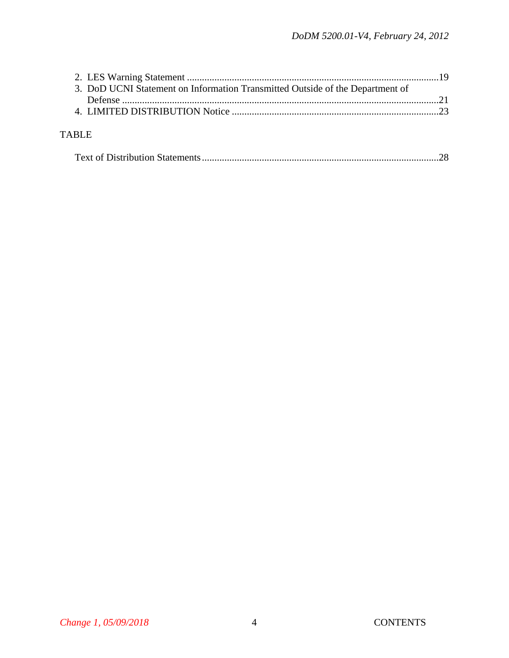| 3. DoD UCNI Statement on Information Transmitted Outside of the Department of |  |
|-------------------------------------------------------------------------------|--|
|                                                                               |  |
|                                                                               |  |
|                                                                               |  |
| <b>TABLE</b>                                                                  |  |
|                                                                               |  |
|                                                                               |  |
|                                                                               |  |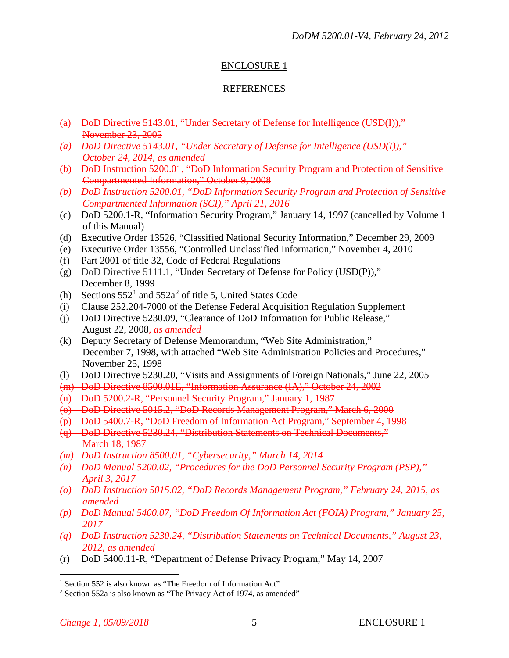## ENCLOSURE 1

## REFERENCES

- (a) DoD Directive 5143.01, "Under Secretary of Defense for Intelligence (USD(I))," November 23, 2005
- *(a) DoD Directive 5143.01, "Under Secretary of Defense for Intelligence (USD(I))," October 24, 2014, as amended*
- (b) DoD Instruction 5200.01, "DoD Information Security Program and Protection of Sensitive Compartmented Information," October 9, 2008
- *(b) DoD Instruction 5200.01, "DoD Information Security Program and Protection of Sensitive Compartmented Information (SCI)," April 21, 2016*
- (c) DoD 5200.1-R, "Information Security Program," January 14, 1997 (cancelled by Volume 1 of this Manual)
- (d) Executive Order 13526, "Classified National Security Information," December 29, 2009
- (e) Executive Order 13556, "Controlled Unclassified Information," November 4, 2010
- (f) Part 2001 of title 32, Code of Federal Regulations
- (g) DoD Directive 5111.1, "Under Secretary of Defense for Policy (USD(P))," December 8, 1999
- (h) Sections  $552^1$  $552^1$  and  $552a^2$  $552a^2$  $552a^2$  of title 5, United States Code
- (i) Clause 252.204-7000 of the Defense Federal Acquisition Regulation Supplement
- (j) DoD Directive 5230.09, "Clearance of DoD Information for Public Release," August 22, 2008*, as amended*
- (k) Deputy Secretary of Defense Memorandum, "Web Site Administration," December 7, 1998, with attached "Web Site Administration Policies and Procedures," November 25, 1998
- (l) DoD Directive 5230.20, "Visits and Assignments of Foreign Nationals," June 22, 2005

(m) DoD Directive 8500.01E, "Information Assurance (IA)," October 24, 2002

- (n) DoD 5200.2-R, "Personnel Security Program," January 1, 1987
- (o) DoD Directive 5015.2, "DoD Records Management Program," March 6, 2000
- (p) DoD 5400.7-R, "DoD Freedom of Information Act Program," September 4, 1998
- (q) DoD Directive 5230.24, "Distribution Statements on Technical Documents," March 18, 1987
- *(m) DoD Instruction 8500.01, "Cybersecurity," March 14, 2014*
- *(n) DoD Manual 5200.02, "Procedures for the DoD Personnel Security Program (PSP)," April 3, 2017*
- *(o) DoD Instruction 5015.02, "DoD Records Management Program," February 24, 2015, as amended*
- *(p) DoD Manual 5400.07, "DoD Freedom Of Information Act (FOIA) Program," January 25, 2017*
- *(q) DoD Instruction 5230.24, "Distribution Statements on Technical Documents," August 23, 2012, as amended*
- (r) DoD 5400.11-R, "Department of Defense Privacy Program," May 14, 2007

<span id="page-4-0"></span><sup>&</sup>lt;sup>1</sup> Section 552 is also known as "The Freedom of Information Act"

<span id="page-4-1"></span><sup>&</sup>lt;sup>2</sup> Section 552a is also known as "The Privacy Act of 1974, as amended"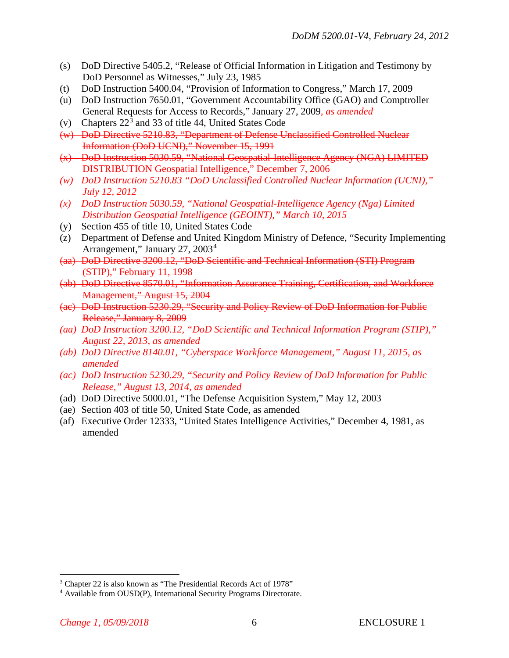- (s) DoD Directive 5405.2, "Release of Official Information in Litigation and Testimony by DoD Personnel as Witnesses," July 23, 1985
- (t) DoD Instruction 5400.04, "Provision of Information to Congress," March 17, 2009
- (u) DoD Instruction 7650.01, "Government Accountability Office (GAO) and Comptroller General Requests for Access to Records," January 27, 2009*, as amended*
- (v) Chapters  $22<sup>3</sup>$  $22<sup>3</sup>$  $22<sup>3</sup>$  and 33 of title 44, United States Code
- (w) DoD Directive 5210.83, "Department of Defense Unclassified Controlled Nuclear Information (DoD UCNI)," November 15, 1991
- (x) DoD Instruction 5030.59, "National Geospatial-Intelligence Agency (NGA) LIMITED DISTRIBUTION Geospatial Intelligence," December 7, 2006
- *(w) DoD Instruction 5210.83 "DoD Unclassified Controlled Nuclear Information (UCNI)," July 12, 2012*
- *(x) DoD Instruction 5030.59, "National Geospatial-Intelligence Agency (Nga) Limited Distribution Geospatial Intelligence (GEOINT)," March 10, 2015*
- (y) Section 455 of title 10, United States Code
- (z) Department of Defense and United Kingdom Ministry of Defence, "Security Implementing Arrangement," January 27, 2003[4](#page-5-1)
- (aa) DoD Directive 3200.12, "DoD Scientific and Technical Information (STI) Program (STIP)," February 11, 1998
- (ab) DoD Directive 8570.01, "Information Assurance Training, Certification, and Workforce Management," August 15, 2004
- (ac) DoD Instruction 5230.29, "Security and Policy Review of DoD Information for Public Release," January 8, 2009
- *(aa) DoD Instruction 3200.12, "DoD Scientific and Technical Information Program (STIP)," August 22, 2013, as amended*
- *(ab) DoD Directive 8140.01, "Cyberspace Workforce Management," August 11, 2015, as amended*
- *(ac) DoD Instruction 5230.29, "Security and Policy Review of DoD Information for Public Release," August 13, 2014, as amended*
- (ad) DoD Directive 5000.01, "The Defense Acquisition System," May 12, 2003
- (ae) Section 403 of title 50, United State Code, as amended
- (af) Executive Order 12333, "United States Intelligence Activities," December 4, 1981, as amended

<span id="page-5-0"></span> <sup>3</sup> Chapter 22 is also known as "The Presidential Records Act of 1978"

<span id="page-5-1"></span><sup>4</sup> Available from OUSD(P), International Security Programs Directorate.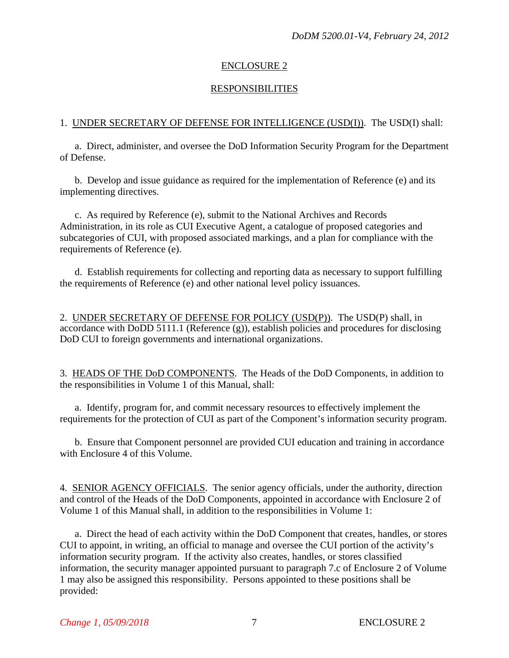## ENCLOSURE 2

## RESPONSIBILITIES

### 1. UNDER SECRETARY OF DEFENSE FOR INTELLIGENCE (USD(I)). The USD(I) shall:

a. Direct, administer, and oversee the DoD Information Security Program for the Department of Defense.

b. Develop and issue guidance as required for the implementation of Reference (e) and its implementing directives.

c. As required by Reference (e), submit to the National Archives and Records Administration, in its role as CUI Executive Agent, a catalogue of proposed categories and subcategories of CUI, with proposed associated markings, and a plan for compliance with the requirements of Reference (e).

d. Establish requirements for collecting and reporting data as necessary to support fulfilling the requirements of Reference (e) and other national level policy issuances.

2. UNDER SECRETARY OF DEFENSE FOR POLICY (USD(P)). The USD(P) shall, in accordance with DoDD 5111.1 (Reference (g)), establish policies and procedures for disclosing DoD CUI to foreign governments and international organizations.

3. HEADS OF THE DoD COMPONENTS. The Heads of the DoD Components, in addition to the responsibilities in Volume 1 of this Manual, shall:

a. Identify, program for, and commit necessary resources to effectively implement the requirements for the protection of CUI as part of the Component's information security program.

b. Ensure that Component personnel are provided CUI education and training in accordance with Enclosure 4 of this Volume.

4. SENIOR AGENCY OFFICIALS. The senior agency officials, under the authority, direction and control of the Heads of the DoD Components, appointed in accordance with Enclosure 2 of Volume 1 of this Manual shall, in addition to the responsibilities in Volume 1:

a. Direct the head of each activity within the DoD Component that creates, handles, or stores CUI to appoint, in writing, an official to manage and oversee the CUI portion of the activity's information security program. If the activity also creates, handles, or stores classified information, the security manager appointed pursuant to paragraph 7.c of Enclosure 2 of Volume 1 may also be assigned this responsibility. Persons appointed to these positions shall be provided: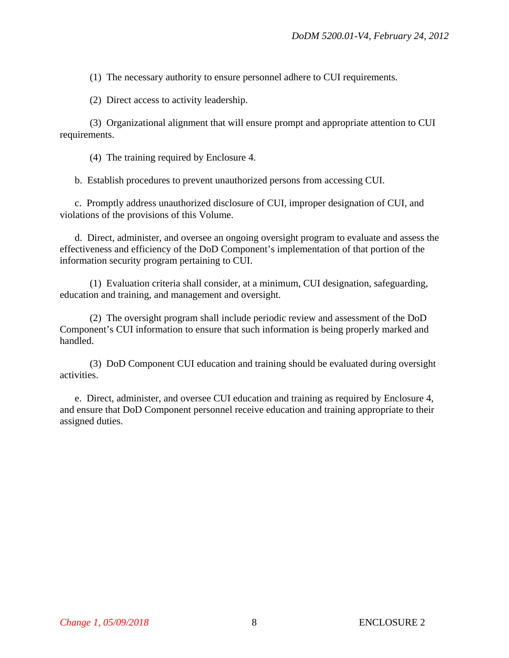(1) The necessary authority to ensure personnel adhere to CUI requirements.

(2) Direct access to activity leadership.

(3) Organizational alignment that will ensure prompt and appropriate attention to CUI requirements.

(4) The training required by Enclosure 4.

b. Establish procedures to prevent unauthorized persons from accessing CUI.

c. Promptly address unauthorized disclosure of CUI, improper designation of CUI, and violations of the provisions of this Volume.

d. Direct, administer, and oversee an ongoing oversight program to evaluate and assess the effectiveness and efficiency of the DoD Component's implementation of that portion of the information security program pertaining to CUI.

(1) Evaluation criteria shall consider, at a minimum, CUI designation, safeguarding, education and training, and management and oversight.

(2) The oversight program shall include periodic review and assessment of the DoD Component's CUI information to ensure that such information is being properly marked and handled.

(3) DoD Component CUI education and training should be evaluated during oversight activities.

e. Direct, administer, and oversee CUI education and training as required by Enclosure 4, and ensure that DoD Component personnel receive education and training appropriate to their assigned duties.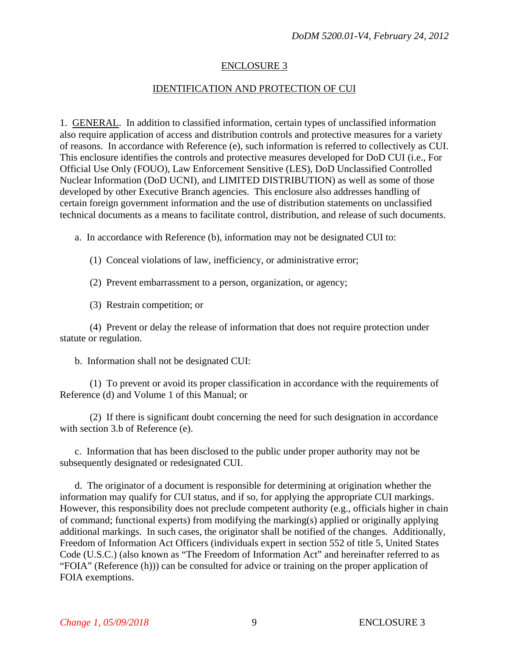## ENCLOSURE 3

## IDENTIFICATION AND PROTECTION OF CUI

1. GENERAL. In addition to classified information, certain types of unclassified information also require application of access and distribution controls and protective measures for a variety of reasons. In accordance with Reference (e), such information is referred to collectively as CUI. This enclosure identifies the controls and protective measures developed for DoD CUI (i.e., For Official Use Only (FOUO), Law Enforcement Sensitive (LES), DoD Unclassified Controlled Nuclear Information (DoD UCNI), and LIMITED DISTRIBUTION) as well as some of those developed by other Executive Branch agencies. This enclosure also addresses handling of certain foreign government information and the use of distribution statements on unclassified technical documents as a means to facilitate control, distribution, and release of such documents.

a. In accordance with Reference (b), information may not be designated CUI to:

(1) Conceal violations of law, inefficiency, or administrative error;

(2) Prevent embarrassment to a person, organization, or agency;

(3) Restrain competition; or

(4) Prevent or delay the release of information that does not require protection under statute or regulation.

b. Information shall not be designated CUI:

(1) To prevent or avoid its proper classification in accordance with the requirements of Reference (d) and Volume 1 of this Manual; or

(2) If there is significant doubt concerning the need for such designation in accordance with section 3.b of Reference (e).

c. Information that has been disclosed to the public under proper authority may not be subsequently designated or redesignated CUI.

d. The originator of a document is responsible for determining at origination whether the information may qualify for CUI status, and if so, for applying the appropriate CUI markings. However, this responsibility does not preclude competent authority (e.g., officials higher in chain of command; functional experts) from modifying the marking(s) applied or originally applying additional markings. In such cases, the originator shall be notified of the changes. Additionally, Freedom of Information Act Officers (individuals expert in section 552 of title 5, United States Code (U.S.C.) (also known as "The Freedom of Information Act" and hereinafter referred to as "FOIA" (Reference (h))) can be consulted for advice or training on the proper application of FOIA exemptions.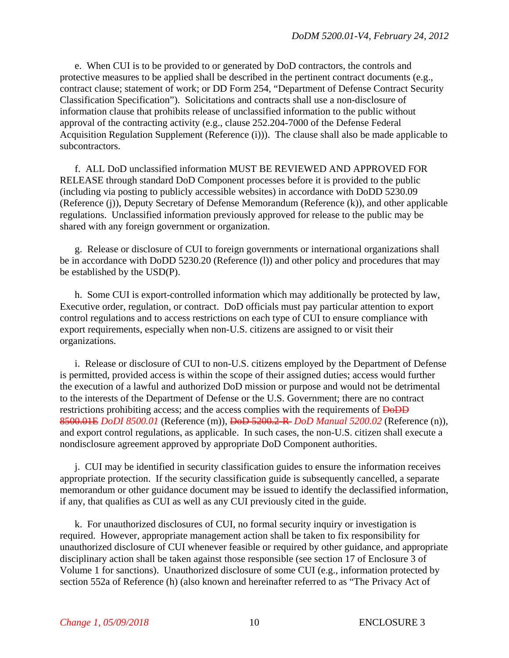e. When CUI is to be provided to or generated by DoD contractors, the controls and protective measures to be applied shall be described in the pertinent contract documents (e.g., contract clause; statement of work; or DD Form 254, "Department of Defense Contract Security Classification Specification"). Solicitations and contracts shall use a non-disclosure of information clause that prohibits release of unclassified information to the public without approval of the contracting activity (e.g., clause 252.204-7000 of the Defense Federal Acquisition Regulation Supplement (Reference (i))). The clause shall also be made applicable to subcontractors.

f. ALL DoD unclassified information MUST BE REVIEWED AND APPROVED FOR RELEASE through standard DoD Component processes before it is provided to the public (including via posting to publicly accessible websites) in accordance with DoDD 5230.09 (Reference (j)), Deputy Secretary of Defense Memorandum (Reference (k)), and other applicable regulations. Unclassified information previously approved for release to the public may be shared with any foreign government or organization.

g. Release or disclosure of CUI to foreign governments or international organizations shall be in accordance with DoDD 5230.20 (Reference (l)) and other policy and procedures that may be established by the USD(P).

h. Some CUI is export-controlled information which may additionally be protected by law, Executive order, regulation, or contract. DoD officials must pay particular attention to export control regulations and to access restrictions on each type of CUI to ensure compliance with export requirements, especially when non-U.S. citizens are assigned to or visit their organizations.

i. Release or disclosure of CUI to non-U.S. citizens employed by the Department of Defense is permitted, provided access is within the scope of their assigned duties; access would further the execution of a lawful and authorized DoD mission or purpose and would not be detrimental to the interests of the Department of Defense or the U.S. Government; there are no contract restrictions prohibiting access; and the access complies with the requirements of  $\overline{\text{DoDD}}$ 8500.01E *DoDI 8500.01* (Reference (m)), DoD 5200.2-R *DoD Manual 5200.02* (Reference (n)), and export control regulations, as applicable. In such cases, the non-U.S. citizen shall execute a nondisclosure agreement approved by appropriate DoD Component authorities.

j. CUI may be identified in security classification guides to ensure the information receives appropriate protection. If the security classification guide is subsequently cancelled, a separate memorandum or other guidance document may be issued to identify the declassified information, if any, that qualifies as CUI as well as any CUI previously cited in the guide.

k. For unauthorized disclosures of CUI, no formal security inquiry or investigation is required. However, appropriate management action shall be taken to fix responsibility for unauthorized disclosure of CUI whenever feasible or required by other guidance, and appropriate disciplinary action shall be taken against those responsible (see section 17 of Enclosure 3 of Volume 1 for sanctions). Unauthorized disclosure of some CUI (e.g., information protected by section 552a of Reference (h) (also known and hereinafter referred to as "The Privacy Act of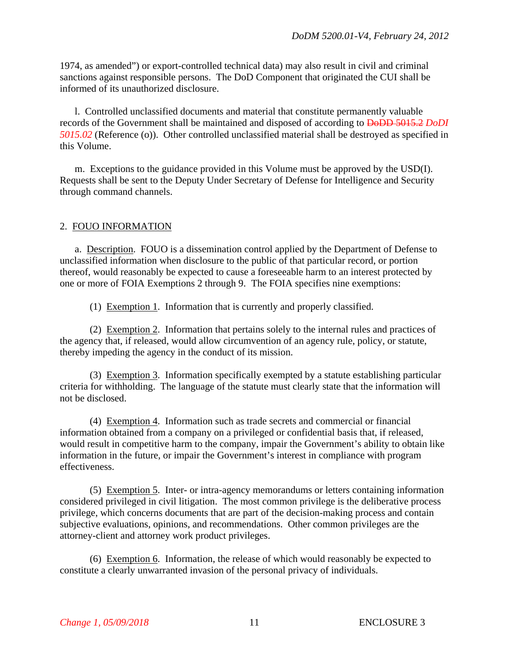1974, as amended") or export-controlled technical data) may also result in civil and criminal sanctions against responsible persons. The DoD Component that originated the CUI shall be informed of its unauthorized disclosure.

l. Controlled unclassified documents and material that constitute permanently valuable records of the Government shall be maintained and disposed of according to DoDD 5015.2 *DoDI 5015.02* (Reference (o)). Other controlled unclassified material shall be destroyed as specified in this Volume.

m. Exceptions to the guidance provided in this Volume must be approved by the USD(I). Requests shall be sent to the Deputy Under Secretary of Defense for Intelligence and Security through command channels.

## 2. FOUO INFORMATION

a. Description. FOUO is a dissemination control applied by the Department of Defense to unclassified information when disclosure to the public of that particular record, or portion thereof, would reasonably be expected to cause a foreseeable harm to an interest protected by one or more of FOIA Exemptions 2 through 9. The FOIA specifies nine exemptions:

(1) Exemption 1. Information that is currently and properly classified.

(2) Exemption 2. Information that pertains solely to the internal rules and practices of the agency that, if released, would allow circumvention of an agency rule, policy, or statute, thereby impeding the agency in the conduct of its mission.

(3) Exemption 3. Information specifically exempted by a statute establishing particular criteria for withholding. The language of the statute must clearly state that the information will not be disclosed.

(4) Exemption 4. Information such as trade secrets and commercial or financial information obtained from a company on a privileged or confidential basis that, if released, would result in competitive harm to the company, impair the Government's ability to obtain like information in the future, or impair the Government's interest in compliance with program effectiveness.

(5) Exemption 5. Inter- or intra-agency memorandums or letters containing information considered privileged in civil litigation. The most common privilege is the deliberative process privilege, which concerns documents that are part of the decision-making process and contain subjective evaluations, opinions, and recommendations. Other common privileges are the attorney-client and attorney work product privileges.

(6) Exemption 6. Information, the release of which would reasonably be expected to constitute a clearly unwarranted invasion of the personal privacy of individuals.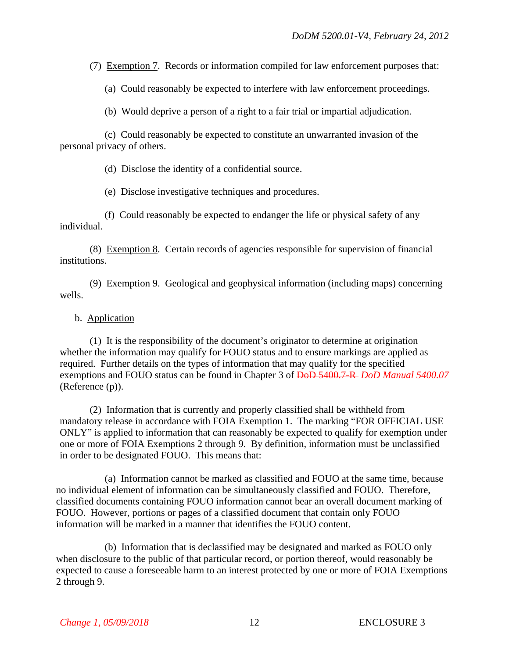(7) Exemption 7. Records or information compiled for law enforcement purposes that:

(a) Could reasonably be expected to interfere with law enforcement proceedings.

(b) Would deprive a person of a right to a fair trial or impartial adjudication.

(c) Could reasonably be expected to constitute an unwarranted invasion of the personal privacy of others.

(d) Disclose the identity of a confidential source.

(e) Disclose investigative techniques and procedures.

(f) Could reasonably be expected to endanger the life or physical safety of any individual.

(8) Exemption 8. Certain records of agencies responsible for supervision of financial institutions.

(9) Exemption 9. Geological and geophysical information (including maps) concerning wells.

#### b. Application

(1) It is the responsibility of the document's originator to determine at origination whether the information may qualify for FOUO status and to ensure markings are applied as required. Further details on the types of information that may qualify for the specified exemptions and FOUO status can be found in Chapter 3 of DoD 5400.7-R *DoD Manual 5400.07* (Reference (p)).

(2) Information that is currently and properly classified shall be withheld from mandatory release in accordance with FOIA Exemption 1. The marking "FOR OFFICIAL USE ONLY" is applied to information that can reasonably be expected to qualify for exemption under one or more of FOIA Exemptions 2 through 9. By definition, information must be unclassified in order to be designated FOUO. This means that:

(a) Information cannot be marked as classified and FOUO at the same time, because no individual element of information can be simultaneously classified and FOUO. Therefore, classified documents containing FOUO information cannot bear an overall document marking of FOUO. However, portions or pages of a classified document that contain only FOUO information will be marked in a manner that identifies the FOUO content.

(b) Information that is declassified may be designated and marked as FOUO only when disclosure to the public of that particular record, or portion thereof, would reasonably be expected to cause a foreseeable harm to an interest protected by one or more of FOIA Exemptions 2 through 9.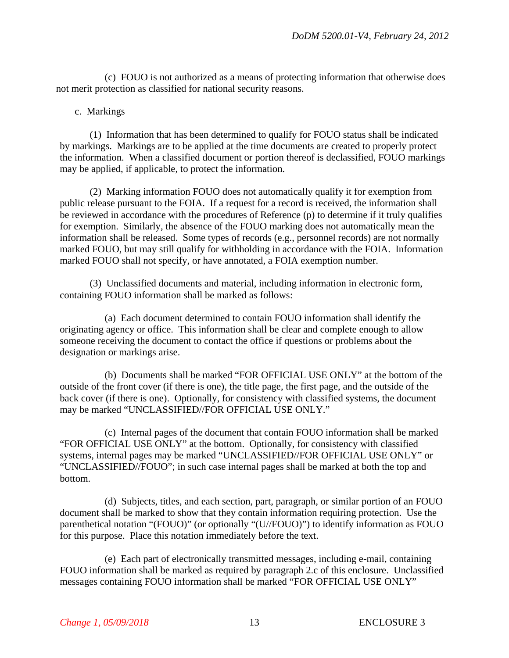(c) FOUO is not authorized as a means of protecting information that otherwise does not merit protection as classified for national security reasons.

#### c. Markings

(1) Information that has been determined to qualify for FOUO status shall be indicated by markings. Markings are to be applied at the time documents are created to properly protect the information. When a classified document or portion thereof is declassified, FOUO markings may be applied, if applicable, to protect the information.

(2) Marking information FOUO does not automatically qualify it for exemption from public release pursuant to the FOIA. If a request for a record is received, the information shall be reviewed in accordance with the procedures of Reference (p) to determine if it truly qualifies for exemption. Similarly, the absence of the FOUO marking does not automatically mean the information shall be released. Some types of records (e.g., personnel records) are not normally marked FOUO, but may still qualify for withholding in accordance with the FOIA. Information marked FOUO shall not specify, or have annotated, a FOIA exemption number.

(3) Unclassified documents and material, including information in electronic form, containing FOUO information shall be marked as follows:

(a) Each document determined to contain FOUO information shall identify the originating agency or office. This information shall be clear and complete enough to allow someone receiving the document to contact the office if questions or problems about the designation or markings arise.

(b) Documents shall be marked "FOR OFFICIAL USE ONLY" at the bottom of the outside of the front cover (if there is one), the title page, the first page, and the outside of the back cover (if there is one). Optionally, for consistency with classified systems, the document may be marked "UNCLASSIFIED//FOR OFFICIAL USE ONLY."

(c) Internal pages of the document that contain FOUO information shall be marked "FOR OFFICIAL USE ONLY" at the bottom. Optionally, for consistency with classified systems, internal pages may be marked "UNCLASSIFIED//FOR OFFICIAL USE ONLY" or "UNCLASSIFIED//FOUO"; in such case internal pages shall be marked at both the top and bottom.

(d) Subjects, titles, and each section, part, paragraph, or similar portion of an FOUO document shall be marked to show that they contain information requiring protection. Use the parenthetical notation "(FOUO)" (or optionally "(U//FOUO)") to identify information as FOUO for this purpose. Place this notation immediately before the text.

(e) Each part of electronically transmitted messages, including e-mail, containing FOUO information shall be marked as required by paragraph 2.c of this enclosure. Unclassified messages containing FOUO information shall be marked "FOR OFFICIAL USE ONLY"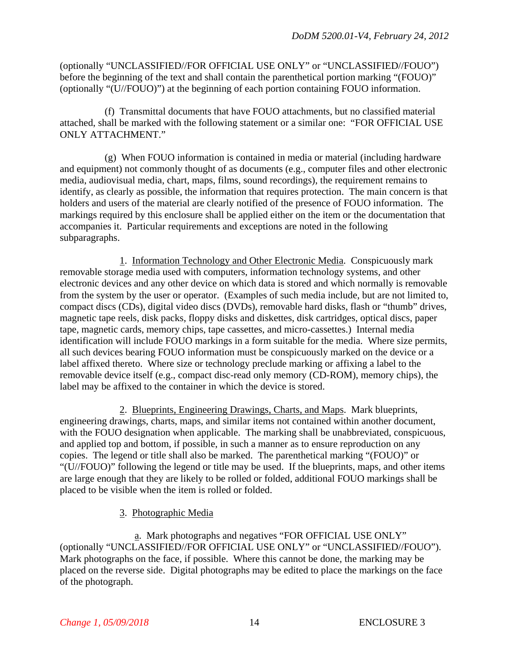(optionally "UNCLASSIFIED//FOR OFFICIAL USE ONLY" or "UNCLASSIFIED//FOUO") before the beginning of the text and shall contain the parenthetical portion marking "(FOUO)" (optionally "(U//FOUO)") at the beginning of each portion containing FOUO information.

(f) Transmittal documents that have FOUO attachments, but no classified material attached, shall be marked with the following statement or a similar one: "FOR OFFICIAL USE ONLY ATTACHMENT."

(g) When FOUO information is contained in media or material (including hardware and equipment) not commonly thought of as documents (e.g., computer files and other electronic media, audiovisual media, chart, maps, films, sound recordings), the requirement remains to identify, as clearly as possible, the information that requires protection. The main concern is that holders and users of the material are clearly notified of the presence of FOUO information. The markings required by this enclosure shall be applied either on the item or the documentation that accompanies it. Particular requirements and exceptions are noted in the following subparagraphs.

1. Information Technology and Other Electronic Media. Conspicuously mark removable storage media used with computers, information technology systems, and other electronic devices and any other device on which data is stored and which normally is removable from the system by the user or operator. (Examples of such media include, but are not limited to, compact discs (CDs), digital video discs (DVDs), removable hard disks, flash or "thumb" drives, magnetic tape reels, disk packs, floppy disks and diskettes, disk cartridges, optical discs, paper tape, magnetic cards, memory chips, tape cassettes, and micro-cassettes.) Internal media identification will include FOUO markings in a form suitable for the media. Where size permits, all such devices bearing FOUO information must be conspicuously marked on the device or a label affixed thereto. Where size or technology preclude marking or affixing a label to the removable device itself (e.g., compact disc-read only memory (CD-ROM), memory chips), the label may be affixed to the container in which the device is stored.

2. Blueprints, Engineering Drawings, Charts, and Maps. Mark blueprints, engineering drawings, charts, maps, and similar items not contained within another document, with the FOUO designation when applicable. The marking shall be unabbreviated, conspicuous, and applied top and bottom, if possible, in such a manner as to ensure reproduction on any copies. The legend or title shall also be marked. The parenthetical marking "(FOUO)" or "(U//FOUO)" following the legend or title may be used. If the blueprints, maps, and other items are large enough that they are likely to be rolled or folded, additional FOUO markings shall be placed to be visible when the item is rolled or folded.

## 3. Photographic Media

a. Mark photographs and negatives "FOR OFFICIAL USE ONLY" (optionally "UNCLASSIFIED//FOR OFFICIAL USE ONLY" or "UNCLASSIFIED//FOUO"). Mark photographs on the face, if possible. Where this cannot be done, the marking may be placed on the reverse side. Digital photographs may be edited to place the markings on the face of the photograph.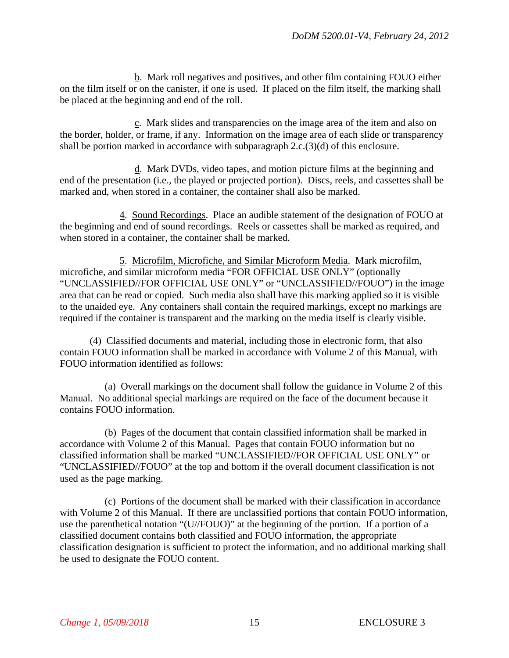b. Mark roll negatives and positives, and other film containing FOUO either on the film itself or on the canister, if one is used. If placed on the film itself, the marking shall be placed at the beginning and end of the roll.

c. Mark slides and transparencies on the image area of the item and also on the border, holder, or frame, if any. Information on the image area of each slide or transparency shall be portion marked in accordance with subparagraph 2.c.(3)(d) of this enclosure.

d. Mark DVDs, video tapes, and motion picture films at the beginning and end of the presentation (i.e., the played or projected portion). Discs, reels, and cassettes shall be marked and, when stored in a container, the container shall also be marked.

4. Sound Recordings. Place an audible statement of the designation of FOUO at the beginning and end of sound recordings. Reels or cassettes shall be marked as required, and when stored in a container, the container shall be marked.

5. Microfilm, Microfiche, and Similar Microform Media. Mark microfilm, microfiche, and similar microform media "FOR OFFICIAL USE ONLY" (optionally "UNCLASSIFIED//FOR OFFICIAL USE ONLY" or "UNCLASSIFIED//FOUO") in the image area that can be read or copied. Such media also shall have this marking applied so it is visible to the unaided eye. Any containers shall contain the required markings, except no markings are required if the container is transparent and the marking on the media itself is clearly visible.

(4) Classified documents and material, including those in electronic form, that also contain FOUO information shall be marked in accordance with Volume 2 of this Manual, with FOUO information identified as follows:

(a) Overall markings on the document shall follow the guidance in Volume 2 of this Manual. No additional special markings are required on the face of the document because it contains FOUO information.

(b) Pages of the document that contain classified information shall be marked in accordance with Volume 2 of this Manual. Pages that contain FOUO information but no classified information shall be marked "UNCLASSIFIED//FOR OFFICIAL USE ONLY" or "UNCLASSIFIED//FOUO" at the top and bottom if the overall document classification is not used as the page marking.

(c) Portions of the document shall be marked with their classification in accordance with Volume 2 of this Manual. If there are unclassified portions that contain FOUO information, use the parenthetical notation "(U//FOUO)" at the beginning of the portion. If a portion of a classified document contains both classified and FOUO information, the appropriate classification designation is sufficient to protect the information, and no additional marking shall be used to designate the FOUO content.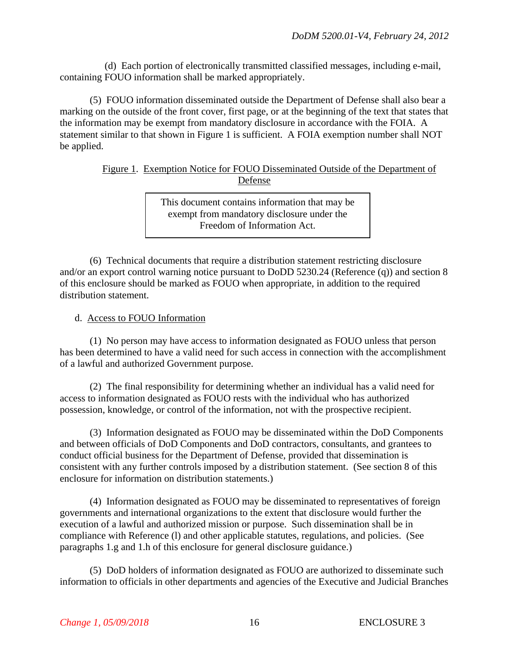(d) Each portion of electronically transmitted classified messages, including e-mail, containing FOUO information shall be marked appropriately.

(5) FOUO information disseminated outside the Department of Defense shall also bear a marking on the outside of the front cover, first page, or at the beginning of the text that states that the information may be exempt from mandatory disclosure in accordance with the FOIA. A statement similar to that shown in Figure 1 is sufficient. A FOIA exemption number shall NOT be applied.

### Figure 1. Exemption Notice for FOUO Disseminated Outside of the Department of Defense

This document contains information that may be exempt from mandatory disclosure under the Freedom of Information Act.

(6) Technical documents that require a distribution statement restricting disclosure and/or an export control warning notice pursuant to DoDD 5230.24 (Reference (q)) and section 8 of this enclosure should be marked as FOUO when appropriate, in addition to the required distribution statement.

## d. Access to FOUO Information

(1) No person may have access to information designated as FOUO unless that person has been determined to have a valid need for such access in connection with the accomplishment of a lawful and authorized Government purpose.

(2) The final responsibility for determining whether an individual has a valid need for access to information designated as FOUO rests with the individual who has authorized possession, knowledge, or control of the information, not with the prospective recipient.

(3) Information designated as FOUO may be disseminated within the DoD Components and between officials of DoD Components and DoD contractors, consultants, and grantees to conduct official business for the Department of Defense, provided that dissemination is consistent with any further controls imposed by a distribution statement. (See section 8 of this enclosure for information on distribution statements.)

(4) Information designated as FOUO may be disseminated to representatives of foreign governments and international organizations to the extent that disclosure would further the execution of a lawful and authorized mission or purpose. Such dissemination shall be in compliance with Reference (l) and other applicable statutes, regulations, and policies. (See paragraphs 1.g and 1.h of this enclosure for general disclosure guidance.)

(5) DoD holders of information designated as FOUO are authorized to disseminate such information to officials in other departments and agencies of the Executive and Judicial Branches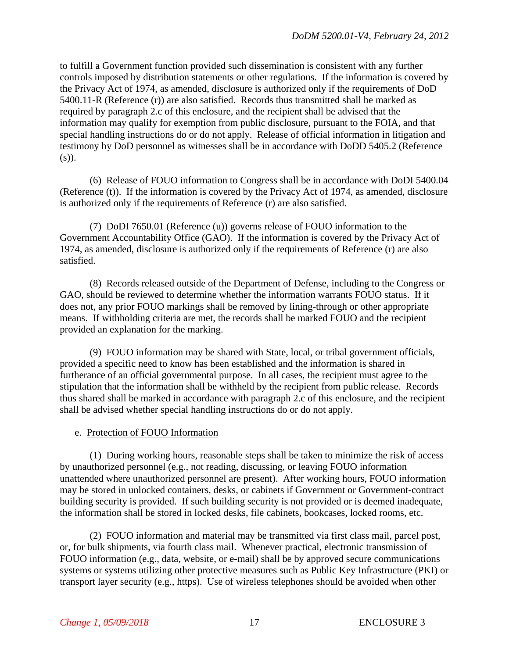to fulfill a Government function provided such dissemination is consistent with any further controls imposed by distribution statements or other regulations. If the information is covered by the Privacy Act of 1974, as amended, disclosure is authorized only if the requirements of DoD 5400.11-R (Reference (r)) are also satisfied. Records thus transmitted shall be marked as required by paragraph 2.c of this enclosure, and the recipient shall be advised that the information may qualify for exemption from public disclosure, pursuant to the FOIA, and that special handling instructions do or do not apply. Release of official information in litigation and testimony by DoD personnel as witnesses shall be in accordance with DoDD 5405.2 (Reference  $(s)$ ).

(6) Release of FOUO information to Congress shall be in accordance with DoDI 5400.04 (Reference (t)). If the information is covered by the Privacy Act of 1974, as amended, disclosure is authorized only if the requirements of Reference (r) are also satisfied.

(7) DoDI 7650.01 (Reference (u)) governs release of FOUO information to the Government Accountability Office (GAO). If the information is covered by the Privacy Act of 1974, as amended, disclosure is authorized only if the requirements of Reference (r) are also satisfied.

(8) Records released outside of the Department of Defense, including to the Congress or GAO, should be reviewed to determine whether the information warrants FOUO status. If it does not, any prior FOUO markings shall be removed by lining-through or other appropriate means. If withholding criteria are met, the records shall be marked FOUO and the recipient provided an explanation for the marking.

(9) FOUO information may be shared with State, local, or tribal government officials, provided a specific need to know has been established and the information is shared in furtherance of an official governmental purpose. In all cases, the recipient must agree to the stipulation that the information shall be withheld by the recipient from public release. Records thus shared shall be marked in accordance with paragraph 2.c of this enclosure, and the recipient shall be advised whether special handling instructions do or do not apply.

## e. Protection of FOUO Information

(1) During working hours, reasonable steps shall be taken to minimize the risk of access by unauthorized personnel (e.g., not reading, discussing, or leaving FOUO information unattended where unauthorized personnel are present). After working hours, FOUO information may be stored in unlocked containers, desks, or cabinets if Government or Government-contract building security is provided. If such building security is not provided or is deemed inadequate, the information shall be stored in locked desks, file cabinets, bookcases, locked rooms, etc.

(2) FOUO information and material may be transmitted via first class mail, parcel post, or, for bulk shipments, via fourth class mail. Whenever practical, electronic transmission of FOUO information (e.g., data, website, or e-mail) shall be by approved secure communications systems or systems utilizing other protective measures such as Public Key Infrastructure (PKI) or transport layer security (e.g., https). Use of wireless telephones should be avoided when other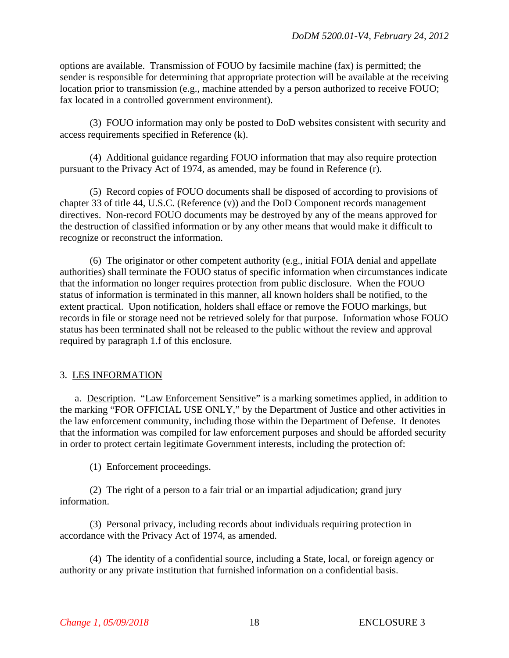options are available. Transmission of FOUO by facsimile machine (fax) is permitted; the sender is responsible for determining that appropriate protection will be available at the receiving location prior to transmission (e.g., machine attended by a person authorized to receive FOUO; fax located in a controlled government environment).

(3) FOUO information may only be posted to DoD websites consistent with security and access requirements specified in Reference (k).

(4) Additional guidance regarding FOUO information that may also require protection pursuant to the Privacy Act of 1974, as amended, may be found in Reference (r).

(5) Record copies of FOUO documents shall be disposed of according to provisions of chapter 33 of title 44, U.S.C. (Reference (v)) and the DoD Component records management directives. Non-record FOUO documents may be destroyed by any of the means approved for the destruction of classified information or by any other means that would make it difficult to recognize or reconstruct the information.

(6) The originator or other competent authority (e.g., initial FOIA denial and appellate authorities) shall terminate the FOUO status of specific information when circumstances indicate that the information no longer requires protection from public disclosure. When the FOUO status of information is terminated in this manner, all known holders shall be notified, to the extent practical. Upon notification, holders shall efface or remove the FOUO markings, but records in file or storage need not be retrieved solely for that purpose. Information whose FOUO status has been terminated shall not be released to the public without the review and approval required by paragraph 1.f of this enclosure.

## 3. LES INFORMATION

a. Description. "Law Enforcement Sensitive" is a marking sometimes applied, in addition to the marking "FOR OFFICIAL USE ONLY," by the Department of Justice and other activities in the law enforcement community, including those within the Department of Defense. It denotes that the information was compiled for law enforcement purposes and should be afforded security in order to protect certain legitimate Government interests, including the protection of:

(1) Enforcement proceedings.

(2) The right of a person to a fair trial or an impartial adjudication; grand jury information.

(3) Personal privacy, including records about individuals requiring protection in accordance with the Privacy Act of 1974, as amended.

(4) The identity of a confidential source, including a State, local, or foreign agency or authority or any private institution that furnished information on a confidential basis.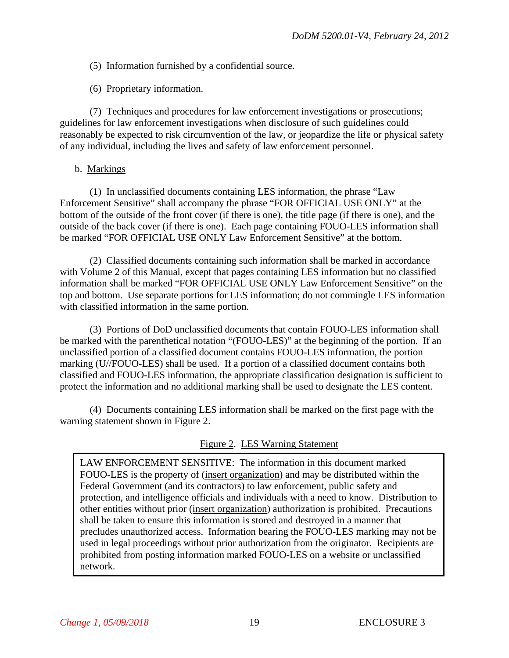- (5) Information furnished by a confidential source.
- (6) Proprietary information.

(7) Techniques and procedures for law enforcement investigations or prosecutions; guidelines for law enforcement investigations when disclosure of such guidelines could reasonably be expected to risk circumvention of the law, or jeopardize the life or physical safety of any individual, including the lives and safety of law enforcement personnel.

b. Markings

(1) In unclassified documents containing LES information, the phrase "Law Enforcement Sensitive" shall accompany the phrase "FOR OFFICIAL USE ONLY" at the bottom of the outside of the front cover (if there is one), the title page (if there is one), and the outside of the back cover (if there is one). Each page containing FOUO-LES information shall be marked "FOR OFFICIAL USE ONLY Law Enforcement Sensitive" at the bottom.

(2) Classified documents containing such information shall be marked in accordance with Volume 2 of this Manual, except that pages containing LES information but no classified information shall be marked "FOR OFFICIAL USE ONLY Law Enforcement Sensitive" on the top and bottom. Use separate portions for LES information; do not commingle LES information with classified information in the same portion.

(3) Portions of DoD unclassified documents that contain FOUO-LES information shall be marked with the parenthetical notation "(FOUO-LES)" at the beginning of the portion. If an unclassified portion of a classified document contains FOUO-LES information, the portion marking (U//FOUO-LES) shall be used. If a portion of a classified document contains both classified and FOUO-LES information, the appropriate classification designation is sufficient to protect the information and no additional marking shall be used to designate the LES content.

(4) Documents containing LES information shall be marked on the first page with the warning statement shown in Figure 2.

# Figure 2. LES Warning Statement

LAW ENFORCEMENT SENSITIVE: The information in this document marked FOUO-LES is the property of (insert organization) and may be distributed within the Federal Government (and its contractors) to law enforcement, public safety and protection, and intelligence officials and individuals with a need to know. Distribution to other entities without prior (insert organization) authorization is prohibited. Precautions shall be taken to ensure this information is stored and destroyed in a manner that precludes unauthorized access. Information bearing the FOUO-LES marking may not be used in legal proceedings without prior authorization from the originator. Recipients are prohibited from posting information marked FOUO-LES on a website or unclassified network.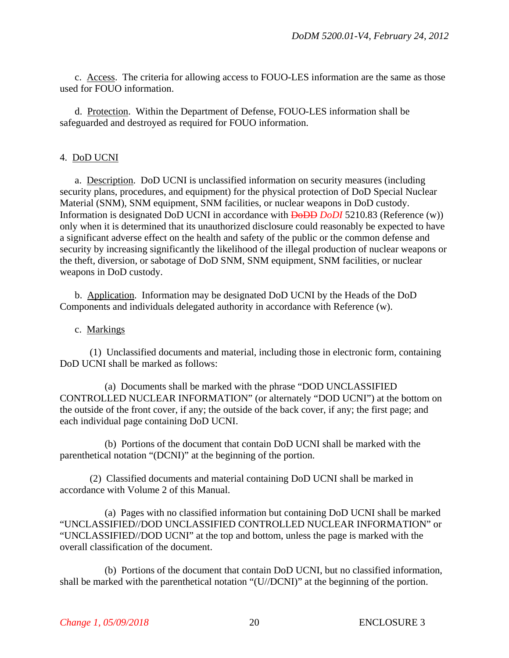c. Access. The criteria for allowing access to FOUO-LES information are the same as those used for FOUO information.

d. Protection. Within the Department of Defense, FOUO-LES information shall be safeguarded and destroyed as required for FOUO information.

### 4. DoD UCNI

a. Description. DoD UCNI is unclassified information on security measures (including security plans, procedures, and equipment) for the physical protection of DoD Special Nuclear Material (SNM), SNM equipment, SNM facilities, or nuclear weapons in DoD custody. Information is designated DoD UCNI in accordance with DoDD *DoDI* 5210.83 (Reference (w)) only when it is determined that its unauthorized disclosure could reasonably be expected to have a significant adverse effect on the health and safety of the public or the common defense and security by increasing significantly the likelihood of the illegal production of nuclear weapons or the theft, diversion, or sabotage of DoD SNM, SNM equipment, SNM facilities, or nuclear weapons in DoD custody.

b. Application. Information may be designated DoD UCNI by the Heads of the DoD Components and individuals delegated authority in accordance with Reference (w).

#### c. Markings

(1) Unclassified documents and material, including those in electronic form, containing DoD UCNI shall be marked as follows:

(a) Documents shall be marked with the phrase "DOD UNCLASSIFIED CONTROLLED NUCLEAR INFORMATION" (or alternately "DOD UCNI") at the bottom on the outside of the front cover, if any; the outside of the back cover, if any; the first page; and each individual page containing DoD UCNI.

(b) Portions of the document that contain DoD UCNI shall be marked with the parenthetical notation "(DCNI)" at the beginning of the portion.

(2) Classified documents and material containing DoD UCNI shall be marked in accordance with Volume 2 of this Manual.

(a) Pages with no classified information but containing DoD UCNI shall be marked "UNCLASSIFIED//DOD UNCLASSIFIED CONTROLLED NUCLEAR INFORMATION" or "UNCLASSIFIED//DOD UCNI" at the top and bottom, unless the page is marked with the overall classification of the document.

(b) Portions of the document that contain DoD UCNI, but no classified information, shall be marked with the parenthetical notation "(U//DCNI)" at the beginning of the portion.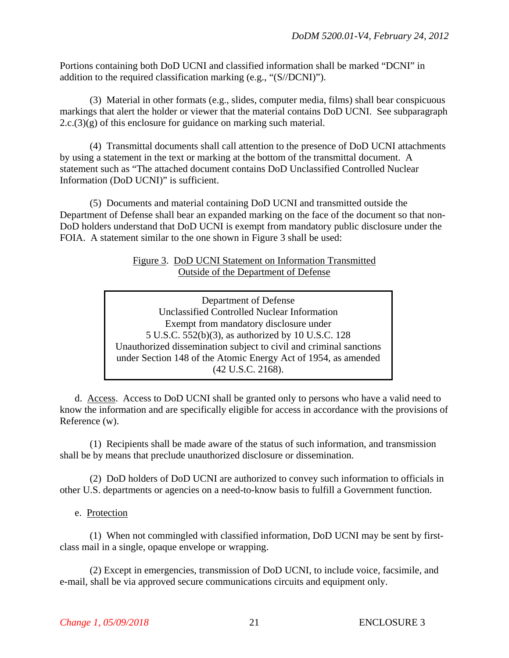Portions containing both DoD UCNI and classified information shall be marked "DCNI" in addition to the required classification marking (e.g., "(S//DCNI)").

(3) Material in other formats (e.g., slides, computer media, films) shall bear conspicuous markings that alert the holder or viewer that the material contains DoD UCNI. See subparagraph  $2.c.(3)(g)$  of this enclosure for guidance on marking such material.

(4) Transmittal documents shall call attention to the presence of DoD UCNI attachments by using a statement in the text or marking at the bottom of the transmittal document. A statement such as "The attached document contains DoD Unclassified Controlled Nuclear Information (DoD UCNI)" is sufficient.

(5) Documents and material containing DoD UCNI and transmitted outside the Department of Defense shall bear an expanded marking on the face of the document so that non-DoD holders understand that DoD UCNI is exempt from mandatory public disclosure under the FOIA. A statement similar to the one shown in Figure 3 shall be used:

> Figure 3. DoD UCNI Statement on Information Transmitted Outside of the Department of Defense

Department of Defense Unclassified Controlled Nuclear Information Exempt from mandatory disclosure under 5 U.S.C. 552(b)(3), as authorized by 10 U.S.C. 128 Unauthorized dissemination subject to civil and criminal sanctions under Section 148 of the Atomic Energy Act of 1954, as amended (42 U.S.C. 2168).

d. Access. Access to DoD UCNI shall be granted only to persons who have a valid need to know the information and are specifically eligible for access in accordance with the provisions of Reference (w).

(1) Recipients shall be made aware of the status of such information, and transmission shall be by means that preclude unauthorized disclosure or dissemination.

(2) DoD holders of DoD UCNI are authorized to convey such information to officials in other U.S. departments or agencies on a need-to-know basis to fulfill a Government function.

## e. Protection

(1) When not commingled with classified information, DoD UCNI may be sent by firstclass mail in a single, opaque envelope or wrapping.

(2) Except in emergencies, transmission of DoD UCNI, to include voice, facsimile, and e-mail, shall be via approved secure communications circuits and equipment only.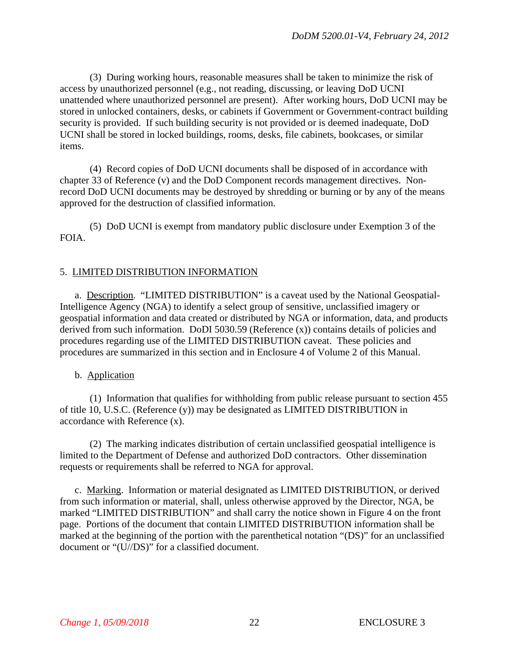(3) During working hours, reasonable measures shall be taken to minimize the risk of access by unauthorized personnel (e.g., not reading, discussing, or leaving DoD UCNI unattended where unauthorized personnel are present). After working hours, DoD UCNI may be stored in unlocked containers, desks, or cabinets if Government or Government-contract building security is provided. If such building security is not provided or is deemed inadequate, DoD UCNI shall be stored in locked buildings, rooms, desks, file cabinets, bookcases, or similar items.

(4) Record copies of DoD UCNI documents shall be disposed of in accordance with chapter 33 of Reference (v) and the DoD Component records management directives. Nonrecord DoD UCNI documents may be destroyed by shredding or burning or by any of the means approved for the destruction of classified information.

(5) DoD UCNI is exempt from mandatory public disclosure under Exemption 3 of the FOIA.

# 5. LIMITED DISTRIBUTION INFORMATION

a. Description. "LIMITED DISTRIBUTION" is a caveat used by the National Geospatial-Intelligence Agency (NGA) to identify a select group of sensitive, unclassified imagery or geospatial information and data created or distributed by NGA or information, data, and products derived from such information. DoDI 5030.59 (Reference (x)) contains details of policies and procedures regarding use of the LIMITED DISTRIBUTION caveat. These policies and procedures are summarized in this section and in Enclosure 4 of Volume 2 of this Manual.

## b. Application

(1) Information that qualifies for withholding from public release pursuant to section 455 of title 10, U.S.C. (Reference (y)) may be designated as LIMITED DISTRIBUTION in accordance with Reference (x).

(2) The marking indicates distribution of certain unclassified geospatial intelligence is limited to the Department of Defense and authorized DoD contractors. Other dissemination requests or requirements shall be referred to NGA for approval.

c. Marking. Information or material designated as LIMITED DISTRIBUTION, or derived from such information or material, shall, unless otherwise approved by the Director, NGA, be marked "LIMITED DISTRIBUTION" and shall carry the notice shown in Figure 4 on the front page. Portions of the document that contain LIMITED DISTRIBUTION information shall be marked at the beginning of the portion with the parenthetical notation "(DS)" for an unclassified document or "(U//DS)" for a classified document.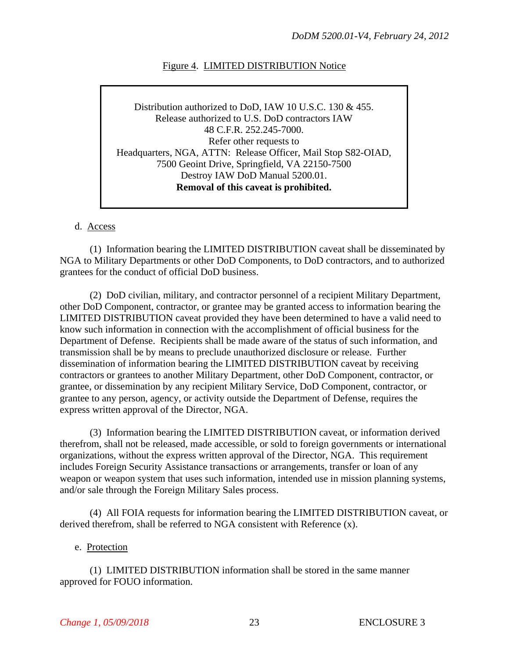## Figure 4. LIMITED DISTRIBUTION Notice

Distribution authorized to DoD, IAW 10 U.S.C. 130 & 455. Release authorized to U.S. DoD contractors IAW 48 C.F.R. 252.245-7000. Refer other requests to Headquarters, NGA, ATTN: Release Officer, Mail Stop S82-OIAD, 7500 Geoint Drive, Springfield, VA 22150-7500 Destroy IAW DoD Manual 5200.01. **Removal of this caveat is prohibited.**

#### d. Access

(1) Information bearing the LIMITED DISTRIBUTION caveat shall be disseminated by NGA to Military Departments or other DoD Components, to DoD contractors, and to authorized grantees for the conduct of official DoD business.

(2) DoD civilian, military, and contractor personnel of a recipient Military Department, other DoD Component, contractor, or grantee may be granted access to information bearing the LIMITED DISTRIBUTION caveat provided they have been determined to have a valid need to know such information in connection with the accomplishment of official business for the Department of Defense. Recipients shall be made aware of the status of such information, and transmission shall be by means to preclude unauthorized disclosure or release. Further dissemination of information bearing the LIMITED DISTRIBUTION caveat by receiving contractors or grantees to another Military Department, other DoD Component, contractor, or grantee, or dissemination by any recipient Military Service, DoD Component, contractor, or grantee to any person, agency, or activity outside the Department of Defense, requires the express written approval of the Director, NGA.

(3) Information bearing the LIMITED DISTRIBUTION caveat, or information derived therefrom, shall not be released, made accessible, or sold to foreign governments or international organizations, without the express written approval of the Director, NGA. This requirement includes Foreign Security Assistance transactions or arrangements, transfer or loan of any weapon or weapon system that uses such information, intended use in mission planning systems, and/or sale through the Foreign Military Sales process.

(4) All FOIA requests for information bearing the LIMITED DISTRIBUTION caveat, or derived therefrom, shall be referred to NGA consistent with Reference (x).

#### e. Protection

(1) LIMITED DISTRIBUTION information shall be stored in the same manner approved for FOUO information.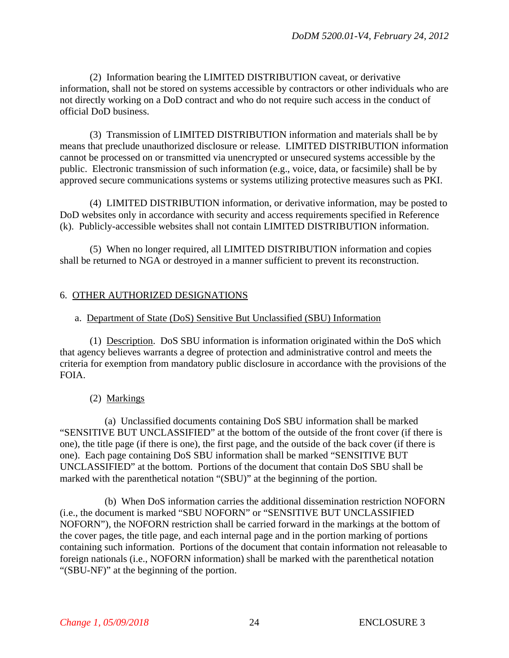(2) Information bearing the LIMITED DISTRIBUTION caveat, or derivative information, shall not be stored on systems accessible by contractors or other individuals who are not directly working on a DoD contract and who do not require such access in the conduct of official DoD business.

(3) Transmission of LIMITED DISTRIBUTION information and materials shall be by means that preclude unauthorized disclosure or release. LIMITED DISTRIBUTION information cannot be processed on or transmitted via unencrypted or unsecured systems accessible by the public. Electronic transmission of such information (e.g., voice, data, or facsimile) shall be by approved secure communications systems or systems utilizing protective measures such as PKI.

(4) LIMITED DISTRIBUTION information, or derivative information, may be posted to DoD websites only in accordance with security and access requirements specified in Reference (k). Publicly-accessible websites shall not contain LIMITED DISTRIBUTION information.

(5) When no longer required, all LIMITED DISTRIBUTION information and copies shall be returned to NGA or destroyed in a manner sufficient to prevent its reconstruction.

# 6. OTHER AUTHORIZED DESIGNATIONS

## a. Department of State (DoS) Sensitive But Unclassified (SBU) Information

(1) Description. DoS SBU information is information originated within the DoS which that agency believes warrants a degree of protection and administrative control and meets the criteria for exemption from mandatory public disclosure in accordance with the provisions of the FOIA.

## (2) Markings

(a) Unclassified documents containing DoS SBU information shall be marked "SENSITIVE BUT UNCLASSIFIED" at the bottom of the outside of the front cover (if there is one), the title page (if there is one), the first page, and the outside of the back cover (if there is one). Each page containing DoS SBU information shall be marked "SENSITIVE BUT UNCLASSIFIED" at the bottom. Portions of the document that contain DoS SBU shall be marked with the parenthetical notation "(SBU)" at the beginning of the portion.

(b) When DoS information carries the additional dissemination restriction NOFORN (i.e., the document is marked "SBU NOFORN" or "SENSITIVE BUT UNCLASSIFIED NOFORN"), the NOFORN restriction shall be carried forward in the markings at the bottom of the cover pages, the title page, and each internal page and in the portion marking of portions containing such information. Portions of the document that contain information not releasable to foreign nationals (i.e., NOFORN information) shall be marked with the parenthetical notation "(SBU-NF)" at the beginning of the portion.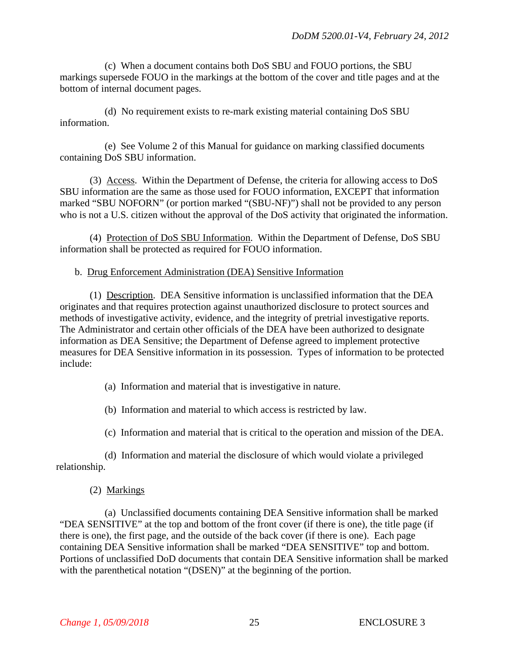(c) When a document contains both DoS SBU and FOUO portions, the SBU markings supersede FOUO in the markings at the bottom of the cover and title pages and at the bottom of internal document pages.

(d) No requirement exists to re-mark existing material containing DoS SBU information.

(e) See Volume 2 of this Manual for guidance on marking classified documents containing DoS SBU information.

(3) Access. Within the Department of Defense, the criteria for allowing access to DoS SBU information are the same as those used for FOUO information, EXCEPT that information marked "SBU NOFORN" (or portion marked "(SBU-NF)") shall not be provided to any person who is not a U.S. citizen without the approval of the DoS activity that originated the information.

(4) Protection of DoS SBU Information. Within the Department of Defense, DoS SBU information shall be protected as required for FOUO information.

#### b. Drug Enforcement Administration (DEA) Sensitive Information

(1) Description. DEA Sensitive information is unclassified information that the DEA originates and that requires protection against unauthorized disclosure to protect sources and methods of investigative activity, evidence, and the integrity of pretrial investigative reports. The Administrator and certain other officials of the DEA have been authorized to designate information as DEA Sensitive; the Department of Defense agreed to implement protective measures for DEA Sensitive information in its possession. Types of information to be protected include:

- (a) Information and material that is investigative in nature.
- (b) Information and material to which access is restricted by law.
- (c) Information and material that is critical to the operation and mission of the DEA.

(d) Information and material the disclosure of which would violate a privileged relationship.

(2) Markings

(a) Unclassified documents containing DEA Sensitive information shall be marked "DEA SENSITIVE" at the top and bottom of the front cover (if there is one), the title page (if there is one), the first page, and the outside of the back cover (if there is one). Each page containing DEA Sensitive information shall be marked "DEA SENSITIVE" top and bottom. Portions of unclassified DoD documents that contain DEA Sensitive information shall be marked with the parenthetical notation "(DSEN)" at the beginning of the portion.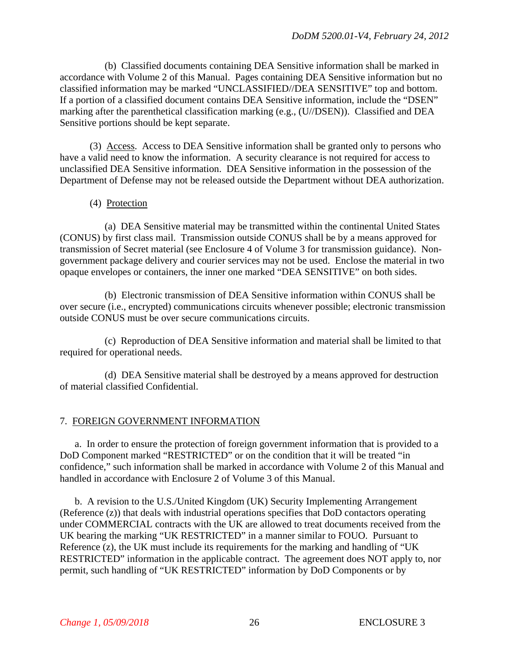(b) Classified documents containing DEA Sensitive information shall be marked in accordance with Volume 2 of this Manual. Pages containing DEA Sensitive information but no classified information may be marked "UNCLASSIFIED//DEA SENSITIVE" top and bottom. If a portion of a classified document contains DEA Sensitive information, include the "DSEN" marking after the parenthetical classification marking (e.g., (U//DSEN)). Classified and DEA Sensitive portions should be kept separate.

(3) Access. Access to DEA Sensitive information shall be granted only to persons who have a valid need to know the information. A security clearance is not required for access to unclassified DEA Sensitive information. DEA Sensitive information in the possession of the Department of Defense may not be released outside the Department without DEA authorization.

#### (4) Protection

(a) DEA Sensitive material may be transmitted within the continental United States (CONUS) by first class mail. Transmission outside CONUS shall be by a means approved for transmission of Secret material (see Enclosure 4 of Volume 3 for transmission guidance). Nongovernment package delivery and courier services may not be used. Enclose the material in two opaque envelopes or containers, the inner one marked "DEA SENSITIVE" on both sides.

(b) Electronic transmission of DEA Sensitive information within CONUS shall be over secure (i.e., encrypted) communications circuits whenever possible; electronic transmission outside CONUS must be over secure communications circuits.

(c) Reproduction of DEA Sensitive information and material shall be limited to that required for operational needs.

(d) DEA Sensitive material shall be destroyed by a means approved for destruction of material classified Confidential.

## 7. FOREIGN GOVERNMENT INFORMATION

a. In order to ensure the protection of foreign government information that is provided to a DoD Component marked "RESTRICTED" or on the condition that it will be treated "in confidence," such information shall be marked in accordance with Volume 2 of this Manual and handled in accordance with Enclosure 2 of Volume 3 of this Manual.

b. A revision to the U.S./United Kingdom (UK) Security Implementing Arrangement (Reference (z)) that deals with industrial operations specifies that DoD contactors operating under COMMERCIAL contracts with the UK are allowed to treat documents received from the UK bearing the marking "UK RESTRICTED" in a manner similar to FOUO. Pursuant to Reference (z), the UK must include its requirements for the marking and handling of "UK RESTRICTED" information in the applicable contract. The agreement does NOT apply to, nor permit, such handling of "UK RESTRICTED" information by DoD Components or by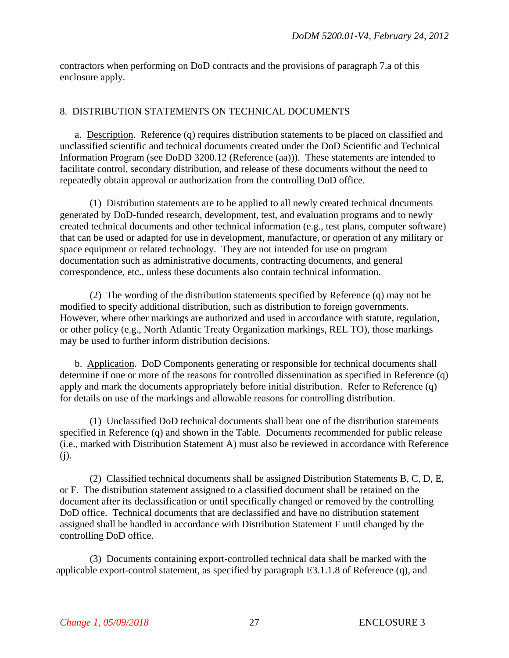contractors when performing on DoD contracts and the provisions of paragraph 7.a of this enclosure apply.

### 8. DISTRIBUTION STATEMENTS ON TECHNICAL DOCUMENTS

a. Description. Reference (q) requires distribution statements to be placed on classified and unclassified scientific and technical documents created under the DoD Scientific and Technical Information Program (see DoDD 3200.12 (Reference (aa))). These statements are intended to facilitate control, secondary distribution, and release of these documents without the need to repeatedly obtain approval or authorization from the controlling DoD office.

(1) Distribution statements are to be applied to all newly created technical documents generated by DoD-funded research, development, test, and evaluation programs and to newly created technical documents and other technical information (e.g., test plans, computer software) that can be used or adapted for use in development, manufacture, or operation of any military or space equipment or related technology. They are not intended for use on program documentation such as administrative documents, contracting documents, and general correspondence, etc., unless these documents also contain technical information.

(2) The wording of the distribution statements specified by Reference (q) may not be modified to specify additional distribution, such as distribution to foreign governments. However, where other markings are authorized and used in accordance with statute, regulation, or other policy (e.g., North Atlantic Treaty Organization markings, REL TO), those markings may be used to further inform distribution decisions.

b. Application. DoD Components generating or responsible for technical documents shall determine if one or more of the reasons for controlled dissemination as specified in Reference (q) apply and mark the documents appropriately before initial distribution. Refer to Reference (q) for details on use of the markings and allowable reasons for controlling distribution.

(1) Unclassified DoD technical documents shall bear one of the distribution statements specified in Reference (q) and shown in the Table. Documents recommended for public release (i.e., marked with Distribution Statement A) must also be reviewed in accordance with Reference (j).

(2) Classified technical documents shall be assigned Distribution Statements B, C, D, E, or F. The distribution statement assigned to a classified document shall be retained on the document after its declassification or until specifically changed or removed by the controlling DoD office. Technical documents that are declassified and have no distribution statement assigned shall be handled in accordance with Distribution Statement F until changed by the controlling DoD office.

(3) Documents containing export-controlled technical data shall be marked with the applicable export-control statement, as specified by paragraph E3.1.1.8 of Reference (q), and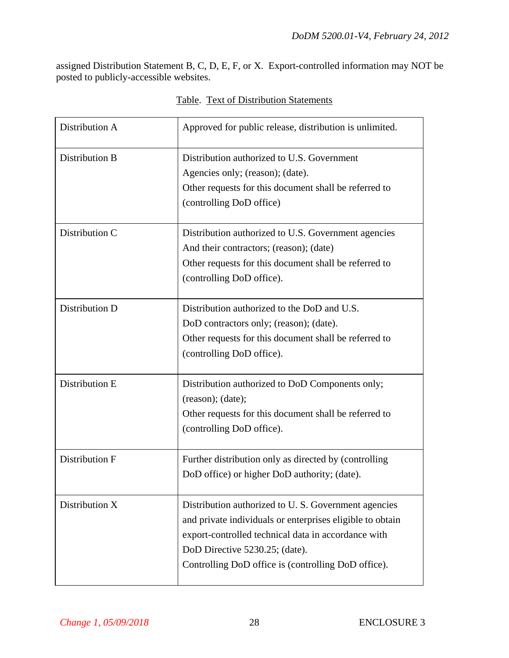assigned Distribution Statement B, C, D, E, F, or X. Export-controlled information may NOT be posted to publicly-accessible websites.

| Distribution A | Approved for public release, distribution is unlimited.                                                                                                                                                                                                          |
|----------------|------------------------------------------------------------------------------------------------------------------------------------------------------------------------------------------------------------------------------------------------------------------|
| Distribution B | Distribution authorized to U.S. Government<br>Agencies only; (reason); (date).<br>Other requests for this document shall be referred to<br>(controlling DoD office)                                                                                              |
| Distribution C | Distribution authorized to U.S. Government agencies<br>And their contractors; (reason); (date)<br>Other requests for this document shall be referred to<br>(controlling DoD office).                                                                             |
| Distribution D | Distribution authorized to the DoD and U.S.<br>DoD contractors only; (reason); (date).<br>Other requests for this document shall be referred to<br>(controlling DoD office).                                                                                     |
| Distribution E | Distribution authorized to DoD Components only;<br>(reason); (date);<br>Other requests for this document shall be referred to<br>(controlling DoD office).                                                                                                       |
| Distribution F | Further distribution only as directed by (controlling)<br>DoD office) or higher DoD authority; (date).                                                                                                                                                           |
| Distribution X | Distribution authorized to U.S. Government agencies<br>and private individuals or enterprises eligible to obtain<br>export-controlled technical data in accordance with<br>DoD Directive 5230.25; (date).<br>Controlling DoD office is (controlling DoD office). |

## Table. Text of Distribution Statements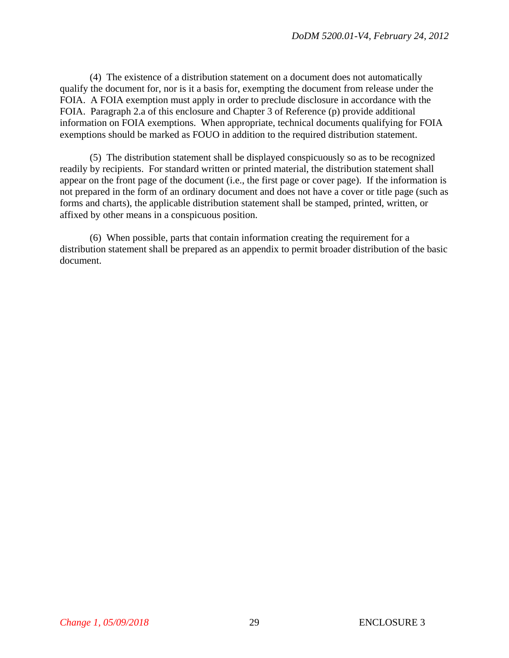(4) The existence of a distribution statement on a document does not automatically qualify the document for, nor is it a basis for, exempting the document from release under the FOIA. A FOIA exemption must apply in order to preclude disclosure in accordance with the FOIA. Paragraph 2.a of this enclosure and Chapter 3 of Reference (p) provide additional information on FOIA exemptions. When appropriate, technical documents qualifying for FOIA exemptions should be marked as FOUO in addition to the required distribution statement.

(5) The distribution statement shall be displayed conspicuously so as to be recognized readily by recipients. For standard written or printed material, the distribution statement shall appear on the front page of the document (i.e., the first page or cover page). If the information is not prepared in the form of an ordinary document and does not have a cover or title page (such as forms and charts), the applicable distribution statement shall be stamped, printed, written, or affixed by other means in a conspicuous position.

(6) When possible, parts that contain information creating the requirement for a distribution statement shall be prepared as an appendix to permit broader distribution of the basic document.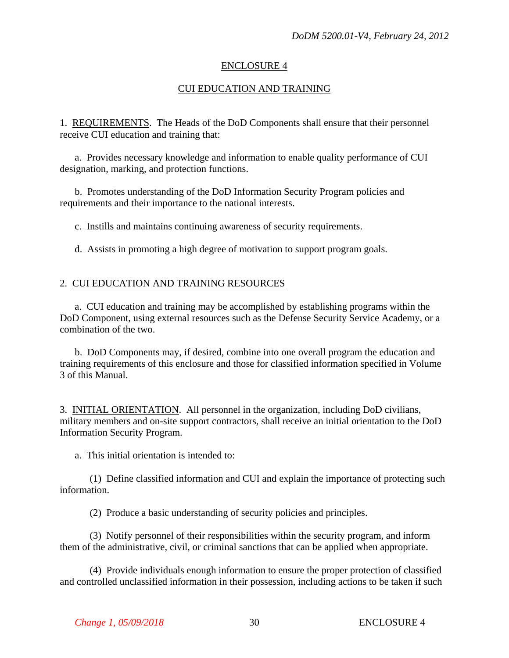## ENCLOSURE 4

## CUI EDUCATION AND TRAINING

1. REQUIREMENTS. The Heads of the DoD Components shall ensure that their personnel receive CUI education and training that:

a. Provides necessary knowledge and information to enable quality performance of CUI designation, marking, and protection functions.

b. Promotes understanding of the DoD Information Security Program policies and requirements and their importance to the national interests.

c. Instills and maintains continuing awareness of security requirements.

d. Assists in promoting a high degree of motivation to support program goals.

## 2. CUI EDUCATION AND TRAINING RESOURCES

a. CUI education and training may be accomplished by establishing programs within the DoD Component, using external resources such as the Defense Security Service Academy, or a combination of the two.

b. DoD Components may, if desired, combine into one overall program the education and training requirements of this enclosure and those for classified information specified in Volume 3 of this Manual.

3. INITIAL ORIENTATION. All personnel in the organization, including DoD civilians, military members and on-site support contractors, shall receive an initial orientation to the DoD Information Security Program.

a. This initial orientation is intended to:

(1) Define classified information and CUI and explain the importance of protecting such information.

(2) Produce a basic understanding of security policies and principles.

(3) Notify personnel of their responsibilities within the security program, and inform them of the administrative, civil, or criminal sanctions that can be applied when appropriate.

(4) Provide individuals enough information to ensure the proper protection of classified and controlled unclassified information in their possession, including actions to be taken if such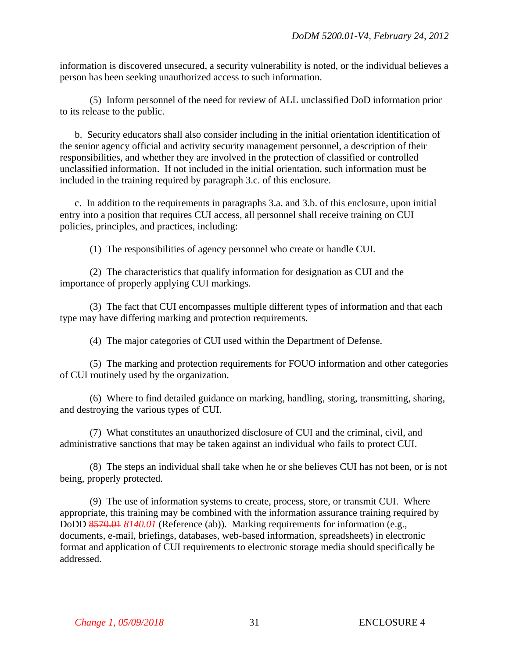information is discovered unsecured, a security vulnerability is noted, or the individual believes a person has been seeking unauthorized access to such information.

(5) Inform personnel of the need for review of ALL unclassified DoD information prior to its release to the public.

b. Security educators shall also consider including in the initial orientation identification of the senior agency official and activity security management personnel, a description of their responsibilities, and whether they are involved in the protection of classified or controlled unclassified information. If not included in the initial orientation, such information must be included in the training required by paragraph 3.c. of this enclosure.

c. In addition to the requirements in paragraphs 3.a. and 3.b. of this enclosure, upon initial entry into a position that requires CUI access, all personnel shall receive training on CUI policies, principles, and practices, including:

(1) The responsibilities of agency personnel who create or handle CUI.

(2) The characteristics that qualify information for designation as CUI and the importance of properly applying CUI markings.

(3) The fact that CUI encompasses multiple different types of information and that each type may have differing marking and protection requirements.

(4) The major categories of CUI used within the Department of Defense.

(5) The marking and protection requirements for FOUO information and other categories of CUI routinely used by the organization.

(6) Where to find detailed guidance on marking, handling, storing, transmitting, sharing, and destroying the various types of CUI.

(7) What constitutes an unauthorized disclosure of CUI and the criminal, civil, and administrative sanctions that may be taken against an individual who fails to protect CUI.

(8) The steps an individual shall take when he or she believes CUI has not been, or is not being, properly protected.

(9) The use of information systems to create, process, store, or transmit CUI. Where appropriate, this training may be combined with the information assurance training required by DoDD 8570.01 *8140.01* (Reference (ab)). Marking requirements for information (e.g., documents, e-mail, briefings, databases, web-based information, spreadsheets) in electronic format and application of CUI requirements to electronic storage media should specifically be addressed.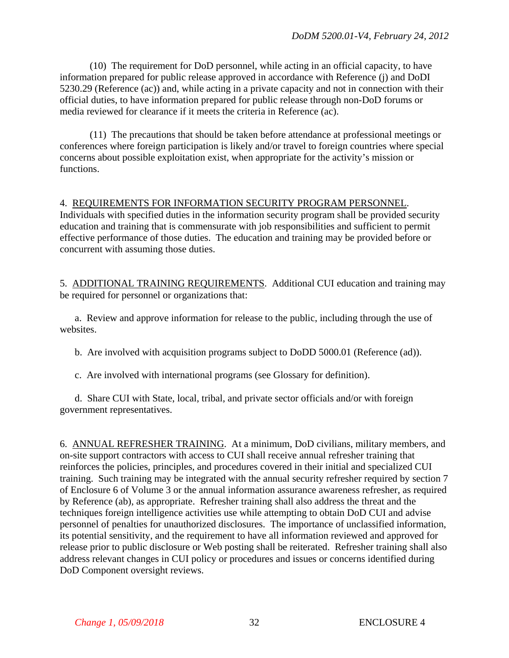(10) The requirement for DoD personnel, while acting in an official capacity, to have information prepared for public release approved in accordance with Reference (j) and DoDI 5230.29 (Reference (ac)) and, while acting in a private capacity and not in connection with their official duties, to have information prepared for public release through non-DoD forums or media reviewed for clearance if it meets the criteria in Reference (ac).

(11) The precautions that should be taken before attendance at professional meetings or conferences where foreign participation is likely and/or travel to foreign countries where special concerns about possible exploitation exist, when appropriate for the activity's mission or functions.

## 4. REQUIREMENTS FOR INFORMATION SECURITY PROGRAM PERSONNEL.

Individuals with specified duties in the information security program shall be provided security education and training that is commensurate with job responsibilities and sufficient to permit effective performance of those duties. The education and training may be provided before or concurrent with assuming those duties.

5. ADDITIONAL TRAINING REQUIREMENTS. Additional CUI education and training may be required for personnel or organizations that:

a. Review and approve information for release to the public, including through the use of websites.

b. Are involved with acquisition programs subject to DoDD 5000.01 (Reference (ad)).

c. Are involved with international programs (see Glossary for definition).

d. Share CUI with State, local, tribal, and private sector officials and/or with foreign government representatives.

6. ANNUAL REFRESHER TRAINING. At a minimum, DoD civilians, military members, and on-site support contractors with access to CUI shall receive annual refresher training that reinforces the policies, principles, and procedures covered in their initial and specialized CUI training. Such training may be integrated with the annual security refresher required by section 7 of Enclosure 6 of Volume 3 or the annual information assurance awareness refresher, as required by Reference (ab), as appropriate. Refresher training shall also address the threat and the techniques foreign intelligence activities use while attempting to obtain DoD CUI and advise personnel of penalties for unauthorized disclosures. The importance of unclassified information, its potential sensitivity, and the requirement to have all information reviewed and approved for release prior to public disclosure or Web posting shall be reiterated. Refresher training shall also address relevant changes in CUI policy or procedures and issues or concerns identified during DoD Component oversight reviews.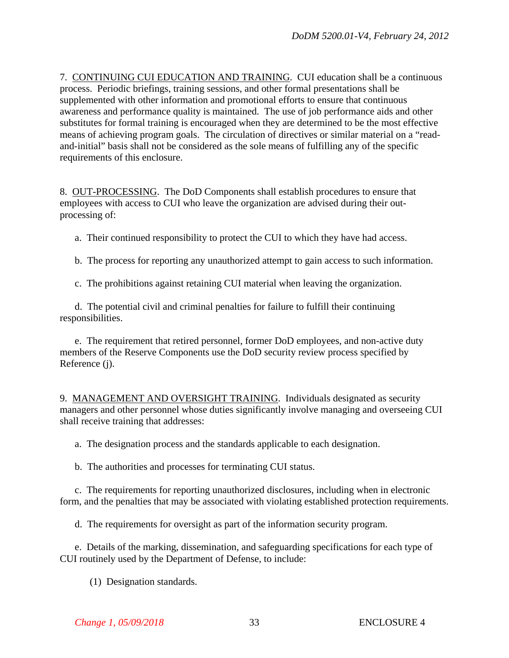7. CONTINUING CUI EDUCATION AND TRAINING. CUI education shall be a continuous process. Periodic briefings, training sessions, and other formal presentations shall be supplemented with other information and promotional efforts to ensure that continuous awareness and performance quality is maintained. The use of job performance aids and other substitutes for formal training is encouraged when they are determined to be the most effective means of achieving program goals. The circulation of directives or similar material on a "readand-initial" basis shall not be considered as the sole means of fulfilling any of the specific requirements of this enclosure.

8. OUT-PROCESSING. The DoD Components shall establish procedures to ensure that employees with access to CUI who leave the organization are advised during their outprocessing of:

a. Their continued responsibility to protect the CUI to which they have had access.

b. The process for reporting any unauthorized attempt to gain access to such information.

c. The prohibitions against retaining CUI material when leaving the organization.

d. The potential civil and criminal penalties for failure to fulfill their continuing responsibilities.

e. The requirement that retired personnel, former DoD employees, and non-active duty members of the Reserve Components use the DoD security review process specified by Reference (j).

9. MANAGEMENT AND OVERSIGHT TRAINING. Individuals designated as security managers and other personnel whose duties significantly involve managing and overseeing CUI shall receive training that addresses:

a. The designation process and the standards applicable to each designation.

b. The authorities and processes for terminating CUI status.

c. The requirements for reporting unauthorized disclosures, including when in electronic form, and the penalties that may be associated with violating established protection requirements.

d. The requirements for oversight as part of the information security program.

e. Details of the marking, dissemination, and safeguarding specifications for each type of CUI routinely used by the Department of Defense, to include:

(1) Designation standards.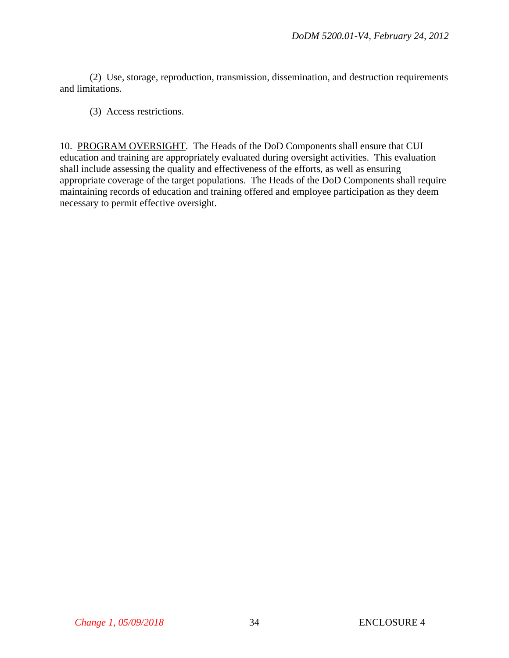(2) Use, storage, reproduction, transmission, dissemination, and destruction requirements and limitations.

(3) Access restrictions.

10. PROGRAM OVERSIGHT. The Heads of the DoD Components shall ensure that CUI education and training are appropriately evaluated during oversight activities. This evaluation shall include assessing the quality and effectiveness of the efforts, as well as ensuring appropriate coverage of the target populations. The Heads of the DoD Components shall require maintaining records of education and training offered and employee participation as they deem necessary to permit effective oversight.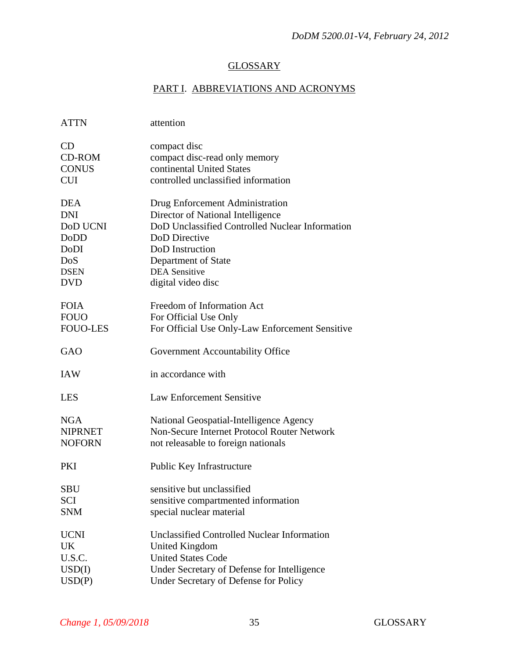# **GLOSSARY**

# PART I. ABBREVIATIONS AND ACRONYMS

| <b>ATTN</b>            | attention                                                                            |
|------------------------|--------------------------------------------------------------------------------------|
| <b>CD</b><br>$CD$ -ROM | compact disc<br>compact disc-read only memory                                        |
| <b>CONUS</b>           | continental United States                                                            |
| <b>CUI</b>             | controlled unclassified information                                                  |
|                        |                                                                                      |
| <b>DEA</b>             | Drug Enforcement Administration                                                      |
| <b>DNI</b>             | Director of National Intelligence                                                    |
| DoD UCNI               | DoD Unclassified Controlled Nuclear Information                                      |
| DoDD                   | DoD Directive                                                                        |
| DoDI                   | DoD Instruction                                                                      |
| DoS                    | Department of State                                                                  |
| <b>DSEN</b>            | <b>DEA</b> Sensitive                                                                 |
| <b>DVD</b>             | digital video disc                                                                   |
|                        |                                                                                      |
| <b>FOIA</b>            | Freedom of Information Act                                                           |
| <b>FOUO</b>            | For Official Use Only                                                                |
| <b>FOUO-LES</b>        | For Official Use Only-Law Enforcement Sensitive                                      |
|                        |                                                                                      |
| GAO                    | Government Accountability Office                                                     |
| <b>IAW</b>             | in accordance with                                                                   |
| <b>LES</b>             | <b>Law Enforcement Sensitive</b>                                                     |
| <b>NGA</b>             | National Geospatial-Intelligence Agency                                              |
| <b>NIPRNET</b>         | Non-Secure Internet Protocol Router Network                                          |
| <b>NOFORN</b>          | not releasable to foreign nationals                                                  |
| PKI                    | Public Key Infrastructure                                                            |
|                        |                                                                                      |
| SBU                    | sensitive but unclassified                                                           |
| <b>SCI</b>             |                                                                                      |
|                        | sensitive compartmented information                                                  |
| <b>SNM</b>             | special nuclear material                                                             |
|                        |                                                                                      |
| <b>UCNI</b>            | <b>Unclassified Controlled Nuclear Information</b>                                   |
| UK                     | <b>United Kingdom</b>                                                                |
| U.S.C.                 | <b>United States Code</b>                                                            |
| USD(I)<br>USD(P)       | Under Secretary of Defense for Intelligence<br>Under Secretary of Defense for Policy |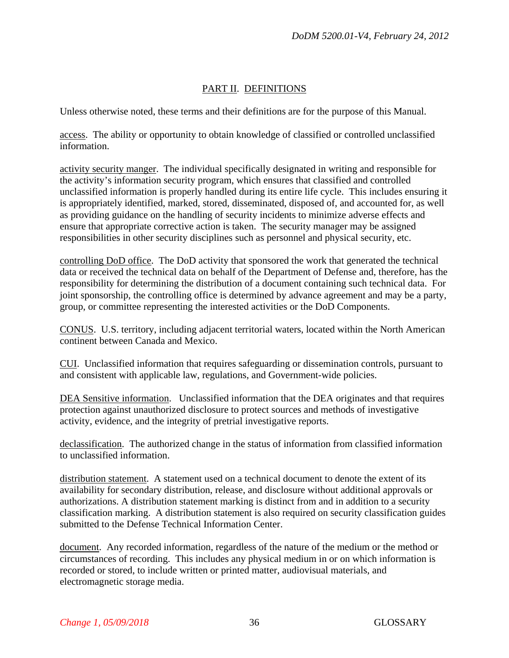# PART II. DEFINITIONS

Unless otherwise noted, these terms and their definitions are for the purpose of this Manual.

access. The ability or opportunity to obtain knowledge of classified or controlled unclassified information.

activity security manger. The individual specifically designated in writing and responsible for the activity's information security program, which ensures that classified and controlled unclassified information is properly handled during its entire life cycle. This includes ensuring it is appropriately identified, marked, stored, disseminated, disposed of, and accounted for, as well as providing guidance on the handling of security incidents to minimize adverse effects and ensure that appropriate corrective action is taken. The security manager may be assigned responsibilities in other security disciplines such as personnel and physical security, etc.

controlling DoD office. The DoD activity that sponsored the work that generated the technical data or received the technical data on behalf of the Department of Defense and, therefore, has the responsibility for determining the distribution of a document containing such technical data. For joint sponsorship, the controlling office is determined by advance agreement and may be a party, group, or committee representing the interested activities or the DoD Components.

CONUS. U.S. territory, including adjacent territorial waters, located within the North American continent between Canada and Mexico.

CUI. Unclassified information that requires safeguarding or dissemination controls, pursuant to and consistent with applicable law, regulations, and Government-wide policies.

DEA Sensitive information. Unclassified information that the DEA originates and that requires protection against unauthorized disclosure to protect sources and methods of investigative activity, evidence, and the integrity of pretrial investigative reports.

declassification. The authorized change in the status of information from classified information to unclassified information.

distribution statement. A statement used on a technical document to denote the extent of its availability for secondary distribution, release, and disclosure without additional approvals or authorizations. A distribution statement marking is distinct from and in addition to a security classification marking. A distribution statement is also required on security classification guides submitted to the Defense Technical Information Center.

document. Any recorded information, regardless of the nature of the medium or the method or circumstances of recording. This includes any physical medium in or on which information is recorded or stored, to include written or printed matter, audiovisual materials, and electromagnetic storage media.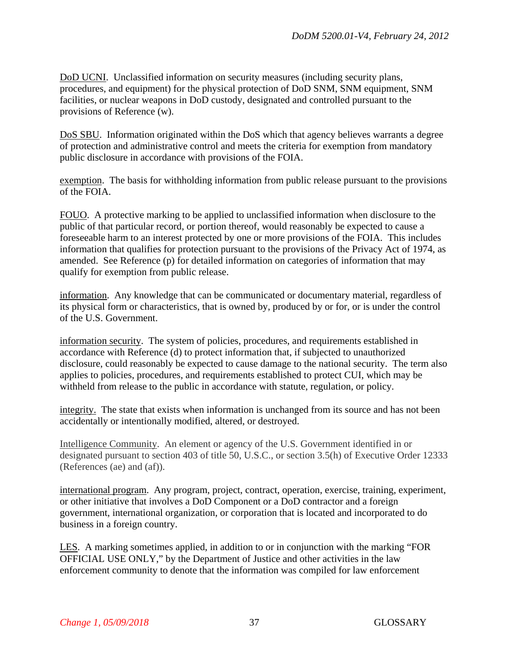DoD UCNI. Unclassified information on security measures (including security plans, procedures, and equipment) for the physical protection of DoD SNM, SNM equipment, SNM facilities, or nuclear weapons in DoD custody, designated and controlled pursuant to the provisions of Reference (w).

DoS SBU. Information originated within the DoS which that agency believes warrants a degree of protection and administrative control and meets the criteria for exemption from mandatory public disclosure in accordance with provisions of the FOIA.

exemption. The basis for withholding information from public release pursuant to the provisions of the FOIA.

FOUO. A protective marking to be applied to unclassified information when disclosure to the public of that particular record, or portion thereof, would reasonably be expected to cause a foreseeable harm to an interest protected by one or more provisions of the FOIA. This includes information that qualifies for protection pursuant to the provisions of the Privacy Act of 1974, as amended. See Reference (p) for detailed information on categories of information that may qualify for exemption from public release.

information. Any knowledge that can be communicated or documentary material, regardless of its physical form or characteristics, that is owned by, produced by or for, or is under the control of the U.S. Government.

information security. The system of policies, procedures, and requirements established in accordance with Reference (d) to protect information that, if subjected to unauthorized disclosure, could reasonably be expected to cause damage to the national security. The term also applies to policies, procedures, and requirements established to protect CUI, which may be withheld from release to the public in accordance with statute, regulation, or policy.

integrity. The state that exists when information is unchanged from its source and has not been accidentally or intentionally modified, altered, or destroyed.

Intelligence Community. An element or agency of the U.S. Government identified in or designated pursuant to section 403 of title 50, U.S.C., or section 3.5(h) of Executive Order 12333 (References (ae) and (af)).

international program. Any program, project, contract, operation, exercise, training, experiment, or other initiative that involves a DoD Component or a DoD contractor and a foreign government, international organization, or corporation that is located and incorporated to do business in a foreign country.

LES. A marking sometimes applied, in addition to or in conjunction with the marking "FOR OFFICIAL USE ONLY," by the Department of Justice and other activities in the law enforcement community to denote that the information was compiled for law enforcement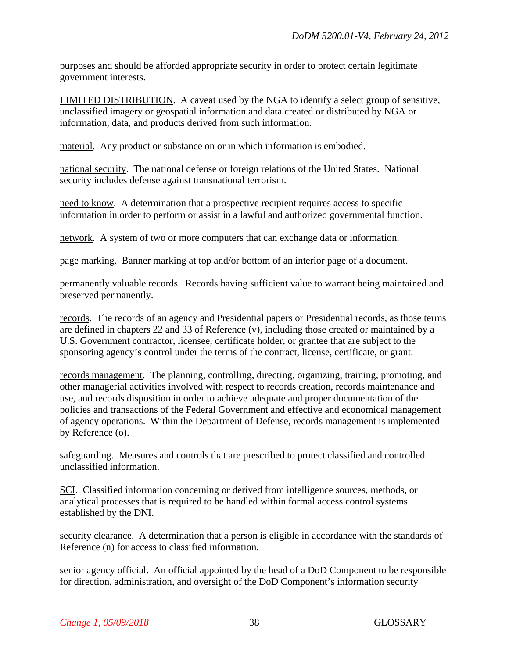purposes and should be afforded appropriate security in order to protect certain legitimate government interests.

LIMITED DISTRIBUTION. A caveat used by the NGA to identify a select group of sensitive, unclassified imagery or geospatial information and data created or distributed by NGA or information, data, and products derived from such information.

material. Any product or substance on or in which information is embodied.

national security. The national defense or foreign relations of the United States. National security includes defense against transnational terrorism.

need to know. A determination that a prospective recipient requires access to specific information in order to perform or assist in a lawful and authorized governmental function.

network. A system of two or more computers that can exchange data or information.

page marking. Banner marking at top and/or bottom of an interior page of a document.

permanently valuable records. Records having sufficient value to warrant being maintained and preserved permanently.

records. The records of an agency and Presidential papers or Presidential records, as those terms are defined in chapters 22 and 33 of Reference (v), including those created or maintained by a U.S. Government contractor, licensee, certificate holder, or grantee that are subject to the sponsoring agency's control under the terms of the contract, license, certificate, or grant.

records management. The planning, controlling, directing, organizing, training, promoting, and other managerial activities involved with respect to records creation, records maintenance and use, and records disposition in order to achieve adequate and proper documentation of the policies and transactions of the Federal Government and effective and economical management of agency operations. Within the Department of Defense, records management is implemented by Reference (o).

safeguarding. Measures and controls that are prescribed to protect classified and controlled unclassified information.

SCI. Classified information concerning or derived from intelligence sources, methods, or analytical processes that is required to be handled within formal access control systems established by the DNI.

security clearance. A determination that a person is eligible in accordance with the standards of Reference (n) for access to classified information.

senior agency official. An official appointed by the head of a DoD Component to be responsible for direction, administration, and oversight of the DoD Component's information security